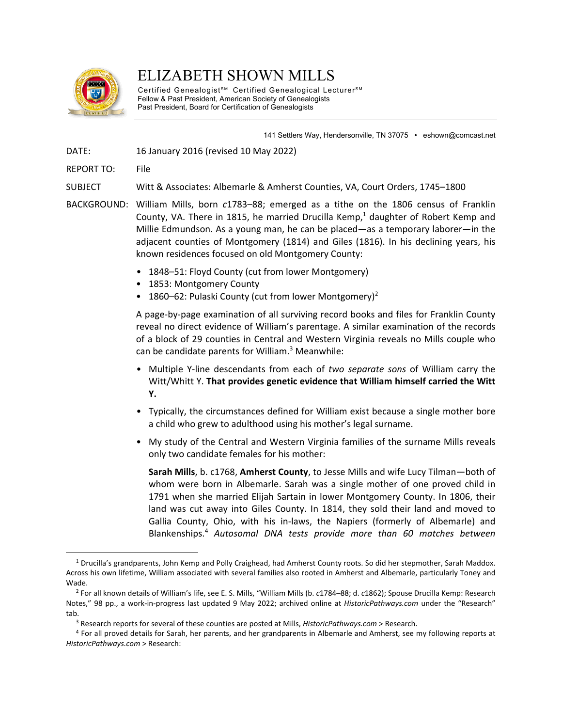

# ELIZABETH SHOWN MILLS

Certified Genealogist<sup>sM</sup> Certified Genealogical Lecturer<sup>sM</sup> Fellow & Past President, American Society of Genealogists Past President, Board for Certification of Genealogists

141 Settlers Way, Hendersonville, TN 37075 • eshown@comcast.net

DATE: 16 January 2016 (revised 10 May 2022)

REPORT TO: File

SUBJECT Witt & Associates: Albemarle & Amherst Counties, VA, Court Orders, 1745–1800

- BACKGROUND: William Mills, born *c*1783–88; emerged as a tithe on the 1806 census of Franklin County, VA. There in 1815, he married Drucilla Kemp, $<sup>1</sup>$  daughter of Robert Kemp and</sup> Millie Edmundson. As a young man, he can be placed—as a temporary laborer—in the adjacent counties of Montgomery (1814) and Giles (1816). In his declining years, his known residences focused on old Montgomery County:
	- 1848–51: Floyd County (cut from lower Montgomery)
	- 1853: Montgomery County
	- 1860–62: Pulaski County (cut from lower Montgomery)<sup>2</sup>

 A page-by-page examination of all surviving record books and files for Franklin County reveal no direct evidence of William's parentage. A similar examination of the records of a block of 29 counties in Central and Western Virginia reveals no Mills couple who can be candidate parents for William.<sup>3</sup> Meanwhile:

- Multiple Y-line descendants from each of *two separate sons* of William carry the Witt/Whitt Y. **That provides genetic evidence that William himself carried the Witt Y.**
- Typically, the circumstances defined for William exist because a single mother bore a child who grew to adulthood using his mother's legal surname.
- My study of the Central and Western Virginia families of the surname Mills reveals only two candidate females for his mother:

**Sarah Mills**, b. c1768, **Amherst County**, to Jesse Mills and wife Lucy Tilman—both of whom were born in Albemarle. Sarah was a single mother of one proved child in 1791 when she married Elijah Sartain in lower Montgomery County. In 1806, their land was cut away into Giles County. In 1814, they sold their land and moved to Gallia County, Ohio, with his in-laws, the Napiers (formerly of Albemarle) and Blankenships.4 *Autosomal DNA tests provide more than 60 matches between* 

<sup>1</sup> Drucilla's grandparents, John Kemp and Polly Craighead, had Amherst County roots. So did her stepmother, Sarah Maddox. Across his own lifetime, William associated with several families also rooted in Amherst and Albemarle, particularly Toney and Wade. 2 For all known details of William's life, see E. S. Mills, "William Mills (b. *c*1784–88; d. *c*1862); Spouse Drucilla Kemp: Research

Notes," 98 pp., a work-in-progress last updated 9 May 2022; archived online at *HistoricPathways.com* under the "Research"

ab.<br><sup>3</sup> Research reports for several of these counties are posted at Mills, *HistoricPathways.com* > Research.<br><sup>4</sup> For all proved details for Sarah, her parents, and her grandparents in Albemarle and Amherst, see my follow *HistoricPathways.com* > Research: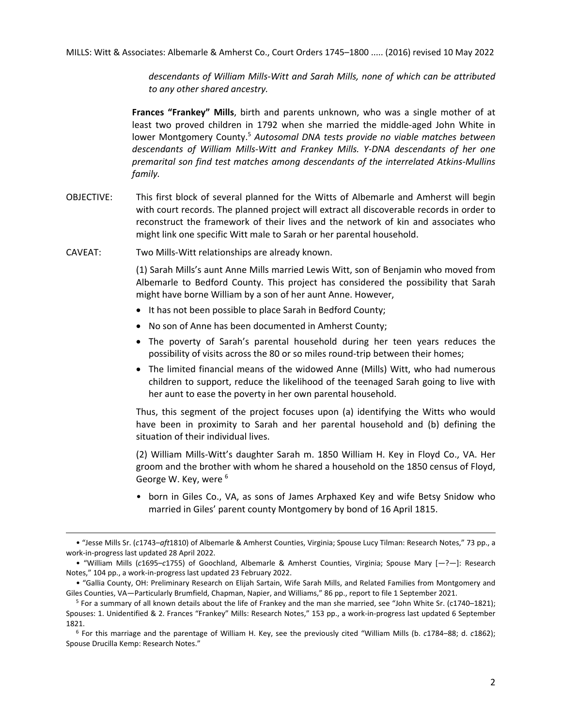*descendants of William Mills-Witt and Sarah Mills, none of which can be attributed to any other shared ancestry.* 

**Frances "Frankey" Mills**, birth and parents unknown, who was a single mother of at least two proved children in 1792 when she married the middle-aged John White in lower Montgomery County.<sup>5</sup> Autosomal DNA tests provide no viable matches between *descendants of William Mills-Witt and Frankey Mills. Y-DNA descendants of her one premarital son find test matches among descendants of the interrelated Atkins-Mullins family.*

- OBJECTIVE: This first block of several planned for the Witts of Albemarle and Amherst will begin with court records. The planned project will extract all discoverable records in order to reconstruct the framework of their lives and the network of kin and associates who might link one specific Witt male to Sarah or her parental household.
- CAVEAT: Two Mills-Witt relationships are already known.

 (1) Sarah Mills's aunt Anne Mills married Lewis Witt, son of Benjamin who moved from Albemarle to Bedford County. This project has considered the possibility that Sarah might have borne William by a son of her aunt Anne. However,

- It has not been possible to place Sarah in Bedford County;
- No son of Anne has been documented in Amherst County;
- The poverty of Sarah's parental household during her teen years reduces the possibility of visits across the 80 or so miles round-trip between their homes;
- The limited financial means of the widowed Anne (Mills) Witt, who had numerous children to support, reduce the likelihood of the teenaged Sarah going to live with her aunt to ease the poverty in her own parental household.

 Thus, this segment of the project focuses upon (a) identifying the Witts who would have been in proximity to Sarah and her parental household and (b) defining the situation of their individual lives.

 (2) William Mills-Witt's daughter Sarah m. 1850 William H. Key in Floyd Co., VA. Her groom and the brother with whom he shared a household on the 1850 census of Floyd, George W. Key, were <sup>6</sup>

• born in Giles Co., VA, as sons of James Arphaxed Key and wife Betsy Snidow who married in Giles' parent county Montgomery by bond of 16 April 1815.

<sup>• &</sup>quot;Jesse Mills Sr. (*c*1743–*aft*1810) of Albemarle & Amherst Counties, Virginia; Spouse Lucy Tilman: Research Notes," 73 pp., a work-in-progress last updated 28 April 2022.

<sup>• &</sup>quot;William Mills (*c*1695–*c*1755) of Goochland, Albemarle & Amherst Counties, Virginia; Spouse Mary [*—*?—]: Research Notes," 104 pp., a work-in-progress last updated 23 February 2022.

<sup>• &</sup>quot;Gallia County, OH: Preliminary Research on Elijah Sartain, Wife Sarah Mills, and Related Families from Montgomery and Giles Counties, VA—Particularly Brumfield, Chapman, Napier, and Williams," 86 pp., report to file 1 September 2021.<br><sup>5</sup> For a summary of all known details about the life of Frankey and the man she married, see "John White

Spouses: 1. Unidentified & 2. Frances "Frankey" Mills: Research Notes," 153 pp., a work-in-progress last updated 6 September 1821. 6 For this marriage and the parentage of William H. Key, see the previously cited "William Mills (b. *c*1784–88; d. *c*1862);

Spouse Drucilla Kemp: Research Notes."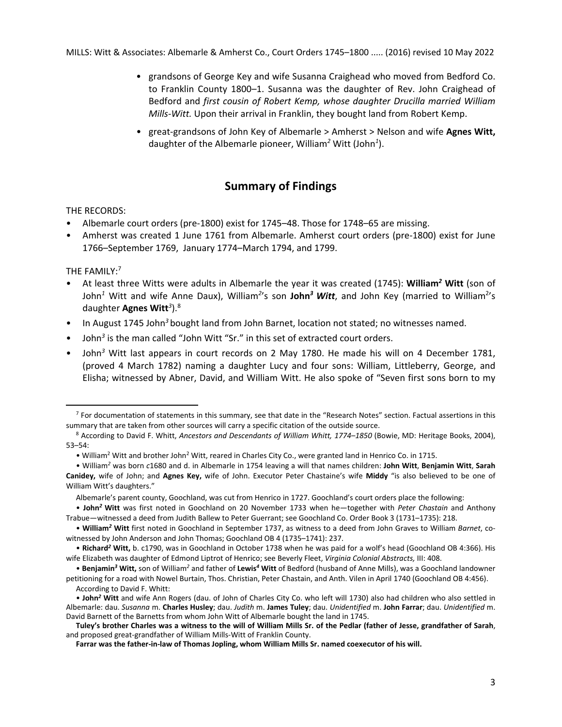- grandsons of George Key and wife Susanna Craighead who moved from Bedford Co. to Franklin County 1800–1. Susanna was the daughter of Rev. John Craighead of Bedford and *first cousin of Robert Kemp, whose daughter Drucilla married William Mills-Witt.* Upon their arrival in Franklin, they bought land from Robert Kemp.
- great-grandsons of John Key of Albemarle > Amherst > Nelson and wife **Agnes Witt,**  daughter of the Albemarle pioneer, William*<sup>2</sup>* Witt (John*<sup>1</sup>* ).

# **Summary of Findings**

# THE RECORDS:

- Albemarle court orders (pre-1800) exist for 1745–48. Those for 1748–65 are missing.
- Amherst was created 1 June 1761 from Albemarle. Amherst court orders (pre-1800) exist for June 1766–September 1769, January 1774–March 1794, and 1799.

# THE FAMILY:<sup>7</sup>

- At least three Witts were adults in Albemarle the year it was created (1745): **William***<sup>2</sup>*  **Witt** (son of John<sup>1</sup> Witt and wife Anne Daux), William<sup>2</sup>'s son **John<sup>3</sup> Witt**, and John Key (married to William<sup>2</sup>'s daughter **Agnes Witt***<sup>3</sup>* ).8
- In August 1745 John*<sup>3</sup>* bought land from John Barnet, location not stated; no witnesses named.
- John<sup>3</sup> is the man called "John Witt "Sr." in this set of extracted court orders.
- John*<sup>3</sup>* Witt last appears in court records on 2 May 1780. He made his will on 4 December 1781, (proved 4 March 1782) naming a daughter Lucy and four sons: William, Littleberry, George, and Elisha; witnessed by Abner, David, and William Witt. He also spoke of "Seven first sons born to my

 $7$  For documentation of statements in this summary, see that date in the "Research Notes" section. Factual assertions in this summary that are taken from other sources will carry a specific citation of the outside source. 8 According to David F. Whitt, *Ancestors and Descendants of William Whitt, 1774–1850* (Bowie, MD: Heritage Books, 2004),

<sup>53–54:</sup> 

<sup>•</sup> William<sup>2</sup> Witt and brother John<sup>2</sup> Witt, reared in Charles City Co., were granted land in Henrico Co. in 1715.

<sup>•</sup> William*<sup>2</sup>* was born *c*1680 and d. in Albemarle in 1754 leaving a will that names children: **John Witt**, **Benjamin Witt**, **Sarah Canidey,** wife of John; and **Agnes Key,** wife of John. Executor Peter Chastaine's wife **Middy** "is also believed to be one of William Witt's daughters."

Albemarle's parent county, Goochland, was cut from Henrico in 1727. Goochland's court orders place the following:

<sup>•</sup> **John***<sup>2</sup>***Witt** was first noted in Goochland on 20 November 1733 when he—together with *Peter Chastain* and Anthony Trabue—witnessed a deed from Judith Ballew to Peter Guerrant; see Goochland Co. Order Book 3 (1731–1735): 218.

<sup>•</sup> **William***2* **Witt** first noted in Goochland in September 1737, as witness to a deed from John Graves to William *Barnet*, cowitnessed by John Anderson and John Thomas; Goochland OB 4 (1735–1741): 237.

<sup>•</sup> **Richard***<sup>2</sup>* **Witt,** b. c1790, was in Goochland in October 1738 when he was paid for a wolf's head (Goochland OB 4:366). His wife Elizabeth was daughter of Edmond Liptrot of Henrico; see Beverly Fleet, *Virginia Colonial Abstracts,* III: 408.

<sup>•</sup> **Benjamin***<sup>3</sup>* **Witt,** son of William*<sup>2</sup>* and father of **Lewis***<sup>4</sup>* **Witt** of Bedford (husband of Anne Mills), was a Goochland landowner petitioning for a road with Nowel Burtain, Thos. Christian, Peter Chastain, and Anth. Vilen in April 1740 (Goochland OB 4:456). According to David F. Whitt:

<sup>•</sup> **John***<sup>2</sup>* **Witt** and wife Ann Rogers (dau. of John of Charles City Co. who left will 1730) also had children who also settled in Albemarle: dau. *Susanna* m. **Charles Husley**; dau. *Judith* m. **James Tuley**; dau. *Unidentified* m. **John Farrar**; dau. *Unidentified* m. David Barnett of the Barnetts from whom John Witt of Albemarle bought the land in 1745.

**Tuley's brother Charles was a witness to the will of William Mills Sr. of the Pedlar (father of Jesse, grandfather of Sarah**, and proposed great-grandfather of William Mills-Witt of Franklin County.

**Farrar was the father-in-law of Thomas Jopling, whom William Mills Sr. named coexecutor of his will.**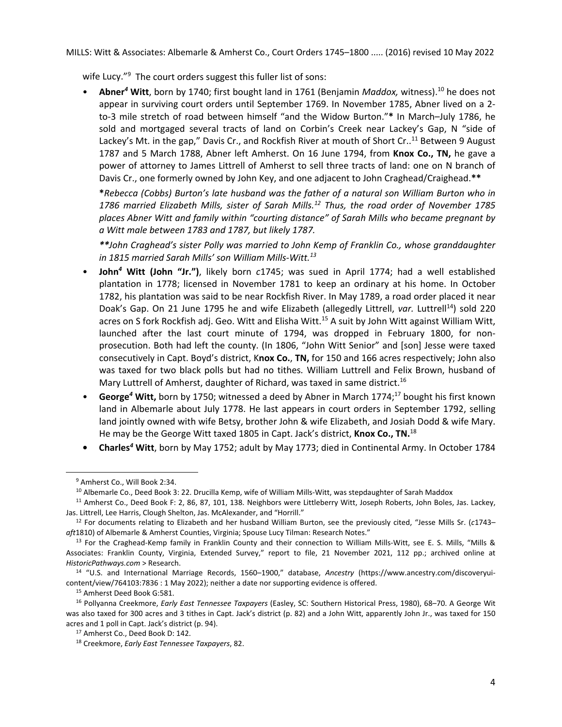wife Lucy."<sup>9</sup> The court orders suggest this fuller list of sons:

• Abner<sup>4</sup> Witt, born by 1740; first bought land in 1761 (Benjamin *Maddox,* witness).<sup>10</sup> he does not appear in surviving court orders until September 1769. In November 1785, Abner lived on a 2 to-3 mile stretch of road between himself "and the Widow Burton."**\*** In March–July 1786, he sold and mortgaged several tracts of land on Corbin's Creek near Lackey's Gap, N "side of Lackey's Mt. in the gap," Davis Cr., and Rockfish River at mouth of Short Cr..<sup>11</sup> Between 9 August 1787 and 5 March 1788, Abner left Amherst. On 16 June 1794, from **Knox Co., TN,** he gave a power of attorney to James Littrell of Amherst to sell three tracts of land: one on N branch of Davis Cr., one formerly owned by John Key, and one adjacent to John Craghead/Craighead.**\*\*** 

**\****Rebecca (Cobbs) Burton's late husband was the father of a natural son William Burton who in 1786 married Elizabeth Mills, sister of Sarah Mills.12 Thus, the road order of November 1785 places Abner Witt and family within "courting distance" of Sarah Mills who became pregnant by a Witt male between 1783 and 1787, but likely 1787.* 

*\*\*John Craghead's sister Polly was married to John Kemp of Franklin Co., whose granddaughter in 1815 married Sarah Mills' son William Mills-Witt.13*

- **John***<sup>4</sup>*  **Witt (John "Jr.")**, likely born *c*1745; was sued in April 1774; had a well established plantation in 1778; licensed in November 1781 to keep an ordinary at his home. In October 1782, his plantation was said to be near Rockfish River. In May 1789, a road order placed it near Doak's Gap. On 21 June 1795 he and wife Elizabeth (allegedly Littrell, *var.* Luttrell<sup>14</sup>) sold 220 acres on S fork Rockfish adj. Geo. Witt and Elisha Witt.<sup>15</sup> A suit by John Witt against William Witt, launched after the last court minute of 1794, was dropped in February 1800, for nonprosecution. Both had left the county. (In 1806, "John Witt Senior" and [son] Jesse were taxed consecutively in Capt. Boyd's district, K**nox Co.**, **TN,** for 150 and 166 acres respectively; John also was taxed for two black polls but had no tithes*.* William Luttrell and Felix Brown, husband of Mary Luttrell of Amherst, daughter of Richard, was taxed in same district.<sup>16</sup>
- George<sup>4</sup> Witt, born by 1750; witnessed a deed by Abner in March 1774;<sup>17</sup> bought his first known land in Albemarle about July 1778. He last appears in court orders in September 1792, selling land jointly owned with wife Betsy, brother John & wife Elizabeth, and Josiah Dodd & wife Mary. He may be the George Witt taxed 1805 in Capt. Jack's district, **Knox Co., TN.**<sup>18</sup>
- **Charles***<sup>4</sup>*  **Witt**, born by May 1752; adult by May 1773; died in Continental Army. In October 1784

<sup>9</sup> Amherst Co., Will Book 2:34.

<sup>&</sup>lt;sup>10</sup> Albemarle Co., Deed Book 3: 22. Drucilla Kemp, wife of William Mills-Witt, was stepdaughter of Sarah Maddox<br><sup>11</sup> Amherst Co., Deed Book F: 2, 86, 87, 101, 138. Neighbors were Littleberry Witt, Joseph Roberts, John Bol

Jas. Littrell, Lee Harris, Clough Shelton, Jas. McAlexander, and "Horrill." 12 For documents relating to Elizabeth and her husband William Burton, see the previously cited, "Jesse Mills Sr. (*c*1743–

*aft*1810) of Albemarle & Amherst Counties, Virginia; Spouse Lucy Tilman: Research Notes." 13 For the Craghead-Kemp family in Franklin County and their connection to William Mills-Witt, see E. S. Mills, "Mills &

Associates: Franklin County, Virginia, Extended Survey," report to file, 21 November 2021, 112 pp.; archived online at

*HistoricPathways.com* > Research. 14 "U.S. and International Marriage Records, 1560–1900," database, *Ancestry* (https://www.ancestry.com/discoveryuicontent/view/764103:7836 : 1 May 2022); neither a date nor supporting evidence is offered. 15 Amherst Deed Book G:581.

<sup>16</sup> Pollyanna Creekmore, *Early East Tennessee Taxpayers* (Easley, SC: Southern Historical Press, 1980), 68–70. A George Wit was also taxed for 300 acres and 3 tithes in Capt. Jack's district (p. 82) and a John Witt, apparently John Jr., was taxed for 150 acres and 1 poll in Capt. Jack's district (p. 94). 17 Amherst Co., Deed Book D: 142.

<sup>18</sup> Creekmore, *Early East Tennessee Taxpayers*, 82.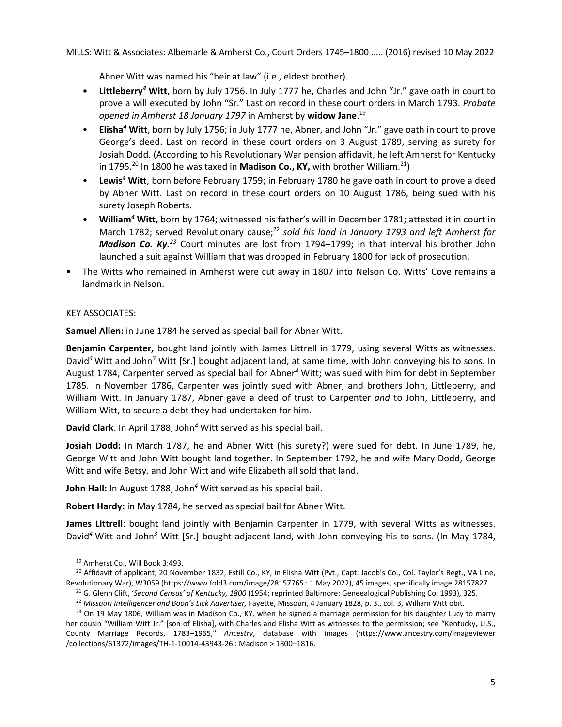Abner Witt was named his "heir at law" (i.e., eldest brother).

- **Littleberry***<sup>4</sup>*  **Witt**, born by July 1756. In July 1777 he, Charles and John "Jr." gave oath in court to prove a will executed by John "Sr." Last on record in these court orders in March 1793. *Probate opened in Amherst 18 January 1797* in Amherst by **widow Jane**. 19
- **Elisha***<sup>4</sup>*  **Witt**, born by July 1756; in July 1777 he, Abner, and John "Jr." gave oath in court to prove George's deed. Last on record in these court orders on 3 August 1789, serving as surety for Josiah Dodd. (According to his Revolutionary War pension affidavit, he left Amherst for Kentucky in 1795.<sup>20</sup> In 1800 he was taxed in **Madison Co., KY,** with brother William.<sup>21</sup>)
- Lewis<sup>4</sup> Witt, born before February 1759; in February 1780 he gave oath in court to prove a deed by Abner Witt. Last on record in these court orders on 10 August 1786, being sued with his surety Joseph Roberts.
- **William***<sup>4</sup>*  **Witt,** born by 1764; witnessed his father's will in December 1781; attested it in court in March 1782; served Revolutionary cause;<sup>22</sup> sold his land in January 1793 and left Amherst for *Madison Co. Ky.<sup>23</sup>* Court minutes are lost from 1794–1799; in that interval his brother John launched a suit against William that was dropped in February 1800 for lack of prosecution.
- The Witts who remained in Amherst were cut away in 1807 into Nelson Co. Witts' Cove remains a landmark in Nelson.

# KEY ASSOCIATES:

**Samuel Allen:** in June 1784 he served as special bail for Abner Witt.

**Benjamin Carpenter,** bought land jointly with James Littrell in 1779, using several Witts as witnesses. David<sup>4</sup> Witt and John<sup>3</sup> Witt [Sr.] bought adjacent land, at same time, with John conveying his to sons. In August 1784, Carpenter served as special bail for Abner*<sup>4</sup>* Witt; was sued with him for debt in September 1785. In November 1786, Carpenter was jointly sued with Abner, and brothers John, Littleberry, and William Witt. In January 1787, Abner gave a deed of trust to Carpenter *and* to John, Littleberry, and William Witt, to secure a debt they had undertaken for him.

**David Clark**: In April 1788, John*<sup>4</sup>* Witt served as his special bail.

**Josiah Dodd:** In March 1787, he and Abner Witt (his surety?) were sued for debt. In June 1789, he, George Witt and John Witt bought land together. In September 1792, he and wife Mary Dodd, George Witt and wife Betsy, and John Witt and wife Elizabeth all sold that land.

**John Hall:** In August 1788, John*<sup>4</sup>* Witt served as his special bail.

**Robert Hardy:** in May 1784, he served as special bail for Abner Witt.

**James Littrell**: bought land jointly with Benjamin Carpenter in 1779, with several Witts as witnesses. David<sup>4</sup> Witt and John<sup>3</sup> Witt [Sr.] bought adjacent land, with John conveying his to sons. (In May 1784,

<sup>20</sup> Affidavit of applicant, 20 November 1832, Estill Co., KY, in Elisha Witt (Pvt., Capt. Jacob's Co., Col. Taylor's Regt., VA Line, Revolutionary War), W3059 (https://www.fold3.com/image/28157765 : 1 May 2022), 45 images, specifically image 28157827<br><sup>21</sup> G. Glenn Clift, '*Second Census' of Kentucky, 1800* (1954; reprinted Baltimore: Geneealogical Publi

<sup>19</sup> Amherst Co., Will Book 3:493.

her cousin "William Witt Jr." [son of Elisha], with Charles and Elisha Witt as witnesses to the permission; see "Kentucky, U.S., County Marriage Records, 1783–1965," *Ancestry*, database with images (https://www.ancestry.com/imageviewer /collections/61372/images/TH-1-10014-43943-26 : Madison > 1800–1816.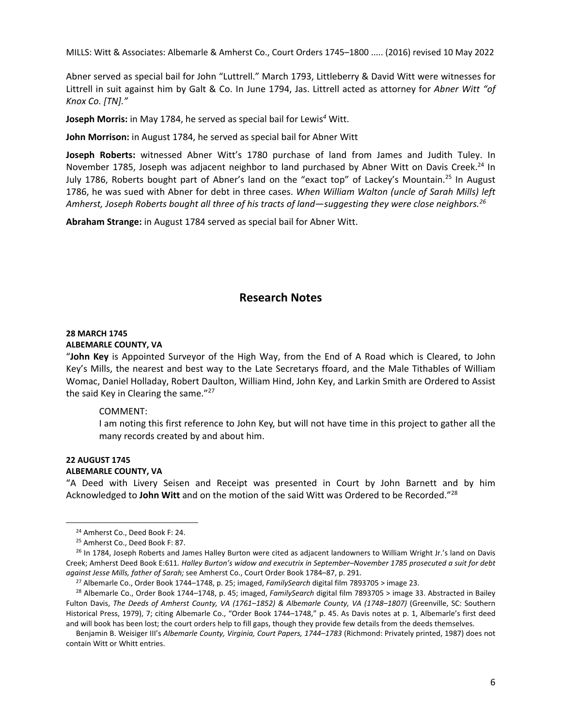Abner served as special bail for John "Luttrell." March 1793, Littleberry & David Witt were witnesses for Littrell in suit against him by Galt & Co. In June 1794, Jas. Littrell acted as attorney for *Abner Witt "of Knox Co. [TN]."* 

**Joseph Morris:** in May 1784, he served as special bail for Lewis*<sup>4</sup>* Witt.

**John Morrison:** in August 1784, he served as special bail for Abner Witt

**Joseph Roberts:** witnessed Abner Witt's 1780 purchase of land from James and Judith Tuley. In November 1785, Joseph was adjacent neighbor to land purchased by Abner Witt on Davis Creek.<sup>24</sup> In July 1786, Roberts bought part of Abner's land on the "exact top" of Lackey's Mountain.<sup>25</sup> In August 1786, he was sued with Abner for debt in three cases. *When William Walton (uncle of Sarah Mills) left Amherst, Joseph Roberts bought all three of his tracts of land—suggesting they were close neighbors.26*

**Abraham Strange:** in August 1784 served as special bail for Abner Witt.

# **Research Notes**

#### **28 MARCH 1745 ALBEMARLE COUNTY, VA**

"**John Key** is Appointed Surveyor of the High Way, from the End of A Road which is Cleared, to John Key's Mills, the nearest and best way to the Late Secretarys ffoard, and the Male Tithables of William Womac, Daniel Holladay, Robert Daulton, William Hind, John Key, and Larkin Smith are Ordered to Assist the said Key in Clearing the same."<sup>27</sup>

## COMMENT:

I am noting this first reference to John Key, but will not have time in this project to gather all the many records created by and about him.

## **22 AUGUST 1745**

## **ALBEMARLE COUNTY, VA**

"A Deed with Livery Seisen and Receipt was presented in Court by John Barnett and by him Acknowledged to **John Witt** and on the motion of the said Witt was Ordered to be Recorded."<sup>28</sup>

<sup>24</sup> Amherst Co., Deed Book F: 24.

<sup>25</sup> Amherst Co., Deed Book F: 87.

<sup>&</sup>lt;sup>26</sup> In 1784, Joseph Roberts and James Halley Burton were cited as adjacent landowners to William Wright Jr.'s land on Davis Creek; Amherst Deed Book E:611*. Halley Burton's widow and executrix in September–November 1785 prosecuted a suit for debt*  against Jesse Mills, father of Sarah; see Amherst Co., Court Order Book 1784–87, p. 291.<br><sup>27</sup> Albemarle Co., Order Book 1744–1748, p. 25; imaged, *FamilySearch* digital film 7893705 > image 23.<br><sup>28</sup> Albemarle Co., Order Bo

Fulton Davis, *The Deeds of Amherst County, VA (1761–1852) & Albemarle County, VA (1748–1807)* (Greenville, SC: Southern Historical Press, 1979), 7; citing Albemarle Co., "Order Book 1744–1748," p. 45. As Davis notes at p. 1, Albemarle's first deed and will book has been lost; the court orders help to fill gaps, though they provide few details from the deeds themselves.

Benjamin B. Weisiger III's *Albemarle County, Virginia, Court Papers, 1744–1783* (Richmond: Privately printed, 1987) does not contain Witt or Whitt entries.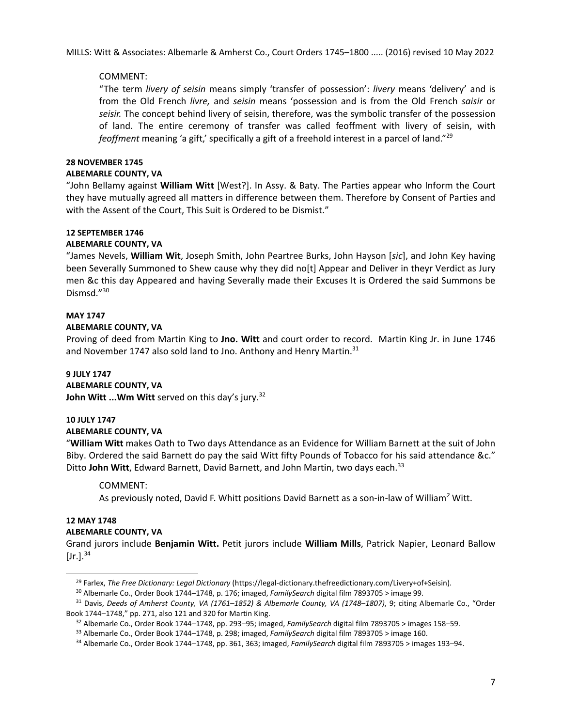# COMMENT:

"The term *livery of seisin* means simply 'transfer of possession': *livery* means 'delivery' and is from the Old French *livre,* and *seisin* means 'possession and is from the Old French *saisir* or *seisir.* The concept behind livery of seisin, therefore, was the symbolic transfer of the possession of land. The entire ceremony of transfer was called feoffment with livery of seisin, with *feoffment* meaning 'a gift,' specifically a gift of a freehold interest in a parcel of land."29

# **28 NOVEMBER 1745**

# **ALBEMARLE COUNTY, VA**

"John Bellamy against **William Witt** [West?]. In Assy. & Baty. The Parties appear who Inform the Court they have mutually agreed all matters in difference between them. Therefore by Consent of Parties and with the Assent of the Court, This Suit is Ordered to be Dismist."

# **12 SEPTEMBER 1746**

# **ALBEMARLE COUNTY, VA**

"James Nevels, **William Wit**, Joseph Smith, John Peartree Burks, John Hayson [*sic*], and John Key having been Severally Summoned to Shew cause why they did no[t] Appear and Deliver in theyr Verdict as Jury men &c this day Appeared and having Severally made their Excuses It is Ordered the said Summons be Dismsd."<sup>30</sup>

# **MAY 1747**

# **ALBEMARLE COUNTY, VA**

Proving of deed from Martin King to **Jno. Witt** and court order to record. Martin King Jr. in June 1746 and November 1747 also sold land to Jno. Anthony and Henry Martin.<sup>31</sup>

# **9 JULY 1747**

## **ALBEMARLE COUNTY, VA**

**John Witt ...Wm Witt** served on this day's jury.32

# **10 JULY 1747**

# **ALBEMARLE COUNTY, VA**

"**William Witt** makes Oath to Two days Attendance as an Evidence for William Barnett at the suit of John Biby. Ordered the said Barnett do pay the said Witt fifty Pounds of Tobacco for his said attendance &c." Ditto **John Witt**, Edward Barnett, David Barnett, and John Martin, two days each. 33

## COMMENT:

As previously noted, David F. Whitt positions David Barnett as a son-in-law of William*<sup>2</sup>* Witt.

## **12 MAY 1748 ALBEMARLE COUNTY, VA**

Grand jurors include **Benjamin Witt.** Petit jurors include **William Mills**, Patrick Napier, Leonard Ballow  $[Jr.].^{34}$ 

<sup>&</sup>lt;sup>29</sup> Farlex, The Free Dictionary: Legal Dictionary (https://legal-dictionary.thefreedictionary.com/Livery+of+Seisin).<br><sup>30</sup> Albemarle Co., Order Book 1744–1748, p. 176; imaged, FamilySearch digital film 7893705 > image 99.<br>

Book 1744–1748," pp. 271, also 121 and 320 for Martin King.<br><sup>32</sup> Albemarle Co., Order Book 1744–1748, pp. 293–95; imaged, *FamilySearch* digital film 7893705 > images 158–59.<br><sup>33</sup> Albemarle Co., Order Book 1744–1748, p. 29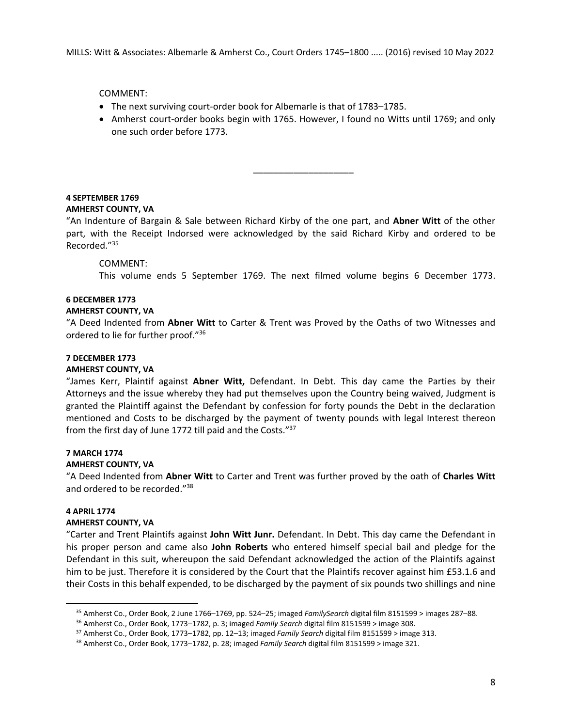COMMENT:

- The next surviving court-order book for Albemarle is that of 1783–1785.
- Amherst court-order books begin with 1765. However, I found no Witts until 1769; and only one such order before 1773.

\_\_\_\_\_\_\_\_\_\_\_\_\_\_\_\_\_\_\_\_

# **4 SEPTEMBER 1769**

# **AMHERST COUNTY, VA**

"An Indenture of Bargain & Sale between Richard Kirby of the one part, and **Abner Witt** of the other part, with the Receipt Indorsed were acknowledged by the said Richard Kirby and ordered to be Recorded."35

# COMMENT:

This volume ends 5 September 1769. The next filmed volume begins 6 December 1773.

# **6 DECEMBER 1773**

# **AMHERST COUNTY, VA**

"A Deed Indented from **Abner Witt** to Carter & Trent was Proved by the Oaths of two Witnesses and ordered to lie for further proof."36

## **7 DECEMBER 1773**

## **AMHERST COUNTY, VA**

"James Kerr, Plaintif against **Abner Witt,** Defendant. In Debt. This day came the Parties by their Attorneys and the issue whereby they had put themselves upon the Country being waived, Judgment is granted the Plaintiff against the Defendant by confession for forty pounds the Debt in the declaration mentioned and Costs to be discharged by the payment of twenty pounds with legal Interest thereon from the first day of June 1772 till paid and the Costs."37

# **7 MARCH 1774**

# **AMHERST COUNTY, VA**

"A Deed Indented from **Abner Witt** to Carter and Trent was further proved by the oath of **Charles Witt** and ordered to be recorded."38

# **4 APRIL 1774**

## **AMHERST COUNTY, VA**

"Carter and Trent Plaintifs against **John Witt Junr.** Defendant. In Debt. This day came the Defendant in his proper person and came also **John Roberts** who entered himself special bail and pledge for the Defendant in this suit, whereupon the said Defendant acknowledged the action of the Plaintifs against him to be just. Therefore it is considered by the Court that the Plaintifs recover against him £53.1.6 and their Costs in this behalf expended, to be discharged by the payment of six pounds two shillings and nine

<sup>&</sup>lt;sup>35</sup> Amherst Co., Order Book, 2 June 1766–1769, pp. 524–25; imaged *FamilySearch* digital film 8151599 > images 287–88.<br><sup>36</sup> Amherst Co., Order Book, 1773–1782, p. 3; imaged *Family Search* digital film 8151599 > image 30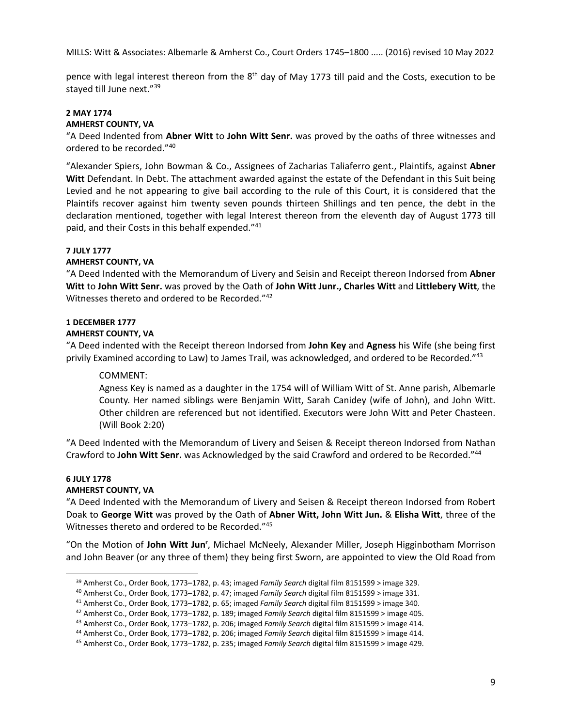pence with legal interest thereon from the  $8<sup>th</sup>$  day of May 1773 till paid and the Costs, execution to be stayed till June next."<sup>39</sup>

# **2 MAY 1774**

#### **AMHERST COUNTY, VA**

"A Deed Indented from **Abner Witt** to **John Witt Senr.** was proved by the oaths of three witnesses and ordered to be recorded."40

"Alexander Spiers, John Bowman & Co., Assignees of Zacharias Taliaferro gent., Plaintifs, against **Abner**  Witt Defendant. In Debt. The attachment awarded against the estate of the Defendant in this Suit being Levied and he not appearing to give bail according to the rule of this Court, it is considered that the Plaintifs recover against him twenty seven pounds thirteen Shillings and ten pence, the debt in the declaration mentioned, together with legal Interest thereon from the eleventh day of August 1773 till paid, and their Costs in this behalf expended."<sup>41</sup>

#### **7 JULY 1777**

# **AMHERST COUNTY, VA**

"A Deed Indented with the Memorandum of Livery and Seisin and Receipt thereon Indorsed from **Abner Witt** to **John Witt Senr.** was proved by the Oath of **John Witt Junr., Charles Witt** and **Littlebery Witt**, the Witnesses thereto and ordered to be Recorded."42

# **1 DECEMBER 1777**

#### **AMHERST COUNTY, VA**

"A Deed indented with the Receipt thereon Indorsed from **John Key** and **Agness** his Wife (she being first privily Examined according to Law) to James Trail, was acknowledged, and ordered to be Recorded."<sup>43</sup>

## COMMENT:

Agness Key is named as a daughter in the 1754 will of William Witt of St. Anne parish, Albemarle County. Her named siblings were Benjamin Witt, Sarah Canidey (wife of John), and John Witt. Other children are referenced but not identified. Executors were John Witt and Peter Chasteen. (Will Book 2:20)

"A Deed Indented with the Memorandum of Livery and Seisen & Receipt thereon Indorsed from Nathan Crawford to **John Witt Senr.** was Acknowledged by the said Crawford and ordered to be Recorded."44

#### **6 JULY 1778**

#### **AMHERST COUNTY, VA**

"A Deed Indented with the Memorandum of Livery and Seisen & Receipt thereon Indorsed from Robert Doak to **George Witt** was proved by the Oath of **Abner Witt, John Witt Jun.** & **Elisha Witt**, three of the Witnesses thereto and ordered to be Recorded."45

"On the Motion of John Witt Jun<sup>r</sup>, Michael McNeely, Alexander Miller, Joseph Higginbotham Morrison and John Beaver (or any three of them) they being first Sworn, are appointed to view the Old Road from

<sup>&</sup>lt;sup>39</sup> Amherst Co., Order Book, 1773–1782, p. 43; imaged *Family Search digital film 8151599* > image 329.<br><sup>40</sup> Amherst Co., Order Book, 1773–1782, p. 47; imaged *Family Search digital film 8151599* > image 331.<br><sup>41</sup> Amhers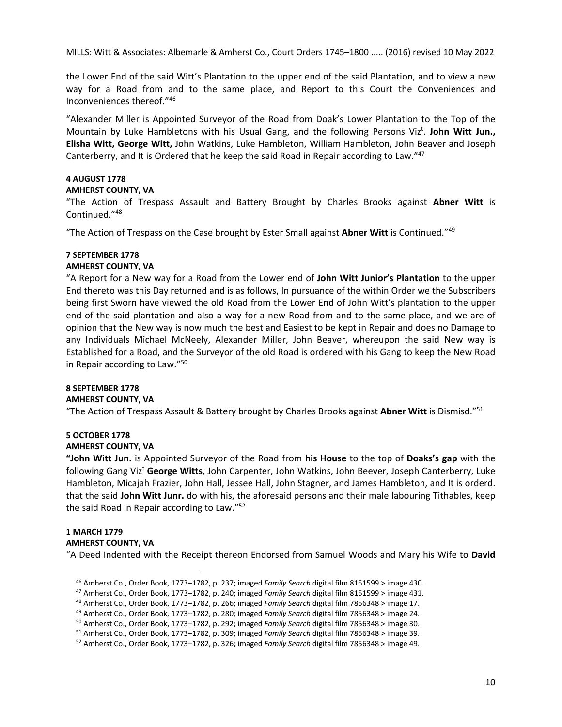the Lower End of the said Witt's Plantation to the upper end of the said Plantation, and to view a new way for a Road from and to the same place, and Report to this Court the Conveniences and Inconveniences thereof."46

"Alexander Miller is Appointed Surveyor of the Road from Doak's Lower Plantation to the Top of the Mountain by Luke Hambletons with his Usual Gang, and the following Persons Viz<sup>t</sup>. John Witt Jun., **Elisha Witt, George Witt,** John Watkins, Luke Hambleton, William Hambleton, John Beaver and Joseph Canterberry, and It is Ordered that he keep the said Road in Repair according to Law."47

# **4 AUGUST 1778**

## **AMHERST COUNTY, VA**

"The Action of Trespass Assault and Battery Brought by Charles Brooks against **Abner Witt** is Continued."48

"The Action of Trespass on the Case brought by Ester Small against **Abner Witt** is Continued."49

#### **7 SEPTEMBER 1778 AMHERST COUNTY, VA**

"A Report for a New way for a Road from the Lower end of **John Witt Junior's Plantation** to the upper End thereto was this Day returned and is as follows, In pursuance of the within Order we the Subscribers being first Sworn have viewed the old Road from the Lower End of John Witt's plantation to the upper end of the said plantation and also a way for a new Road from and to the same place, and we are of opinion that the New way is now much the best and Easiest to be kept in Repair and does no Damage to any Individuals Michael McNeely, Alexander Miller, John Beaver, whereupon the said New way is Established for a Road, and the Surveyor of the old Road is ordered with his Gang to keep the New Road in Repair according to Law."50

# **8 SEPTEMBER 1778**

## **AMHERST COUNTY, VA**

"The Action of Trespass Assault & Battery brought by Charles Brooks against **Abner Witt** is Dismisd."51

# **5 OCTOBER 1778**

# **AMHERST COUNTY, VA**

**"John Witt Jun.** is Appointed Surveyor of the Road from **his House** to the top of **Doaks's gap** with the following Gang Vizt **George Witts**, John Carpenter, John Watkins, John Beever, Joseph Canterberry, Luke Hambleton, Micajah Frazier, John Hall, Jessee Hall, John Stagner, and James Hambleton, and It is orderd. that the said **John Witt Junr.** do with his, the aforesaid persons and their male labouring Tithables, keep the said Road in Repair according to Law."52

# **1 MARCH 1779**

#### **AMHERST COUNTY, VA**

"A Deed Indented with the Receipt thereon Endorsed from Samuel Woods and Mary his Wife to **David** 

<sup>&</sup>lt;sup>46</sup> Amherst Co., Order Book, 1773–1782, p. 237; imaged *Family Search* digital film 8151599 > image 430.<br><sup>47</sup> Amherst Co., Order Book, 1773–1782, p. 240; imaged *Family Search* digital film 8151599 > image 431.<br><sup>48</sup> Amhe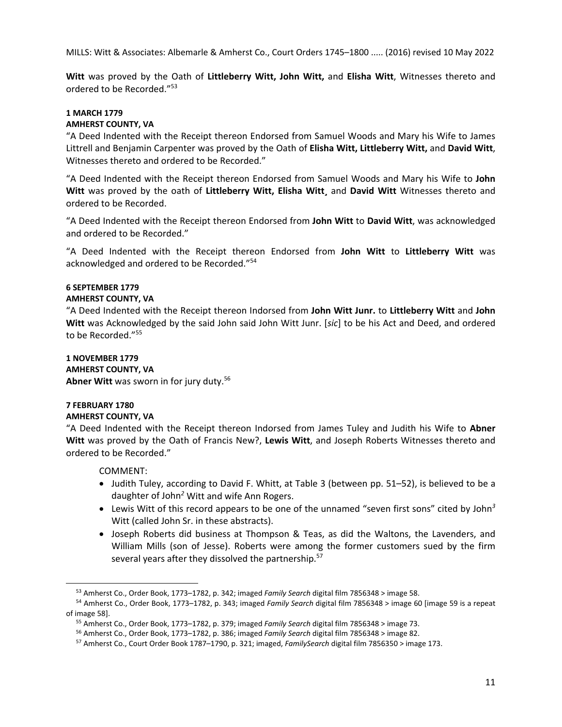**Witt** was proved by the Oath of **Littleberry Witt, John Witt,** and **Elisha Witt**, Witnesses thereto and ordered to be Recorded."53

# **1 MARCH 1779**

# **AMHERST COUNTY, VA**

"A Deed Indented with the Receipt thereon Endorsed from Samuel Woods and Mary his Wife to James Littrell and Benjamin Carpenter was proved by the Oath of **Elisha Witt, Littleberry Witt,** and **David Witt**, Witnesses thereto and ordered to be Recorded."

"A Deed Indented with the Receipt thereon Endorsed from Samuel Woods and Mary his Wife to **John Witt** was proved by the oath of **Littleberry Witt, Elisha Witt¸** and **David Witt** Witnesses thereto and ordered to be Recorded.

"A Deed Indented with the Receipt thereon Endorsed from **John Witt** to **David Witt**, was acknowledged and ordered to be Recorded."

"A Deed Indented with the Receipt thereon Endorsed from **John Witt** to **Littleberry Witt** was acknowledged and ordered to be Recorded."54

# **6 SEPTEMBER 1779**

# **AMHERST COUNTY, VA**

"A Deed Indented with the Receipt thereon Indorsed from **John Witt Junr.** to **Littleberry Witt** and **John Witt** was Acknowledged by the said John said John Witt Junr. [*sic*] to be his Act and Deed, and ordered to be Recorded."55

**1 NOVEMBER 1779 AMHERST COUNTY, VA**  Abner Witt was sworn in for jury duty.<sup>56</sup>

#### **7 FEBRUARY 1780 AMHERST COUNTY, VA**

"A Deed Indented with the Receipt thereon Indorsed from James Tuley and Judith his Wife to **Abner Witt** was proved by the Oath of Francis New?, **Lewis Witt**, and Joseph Roberts Witnesses thereto and ordered to be Recorded."

COMMENT:

- Judith Tuley, according to David F. Whitt, at Table 3 (between pp. 51–52), is believed to be a daughter of John*<sup>2</sup>* Witt and wife Ann Rogers.
- Lewis Witt of this record appears to be one of the unnamed "seven first sons" cited by John*<sup>3</sup>* Witt (called John Sr. in these abstracts).
- Joseph Roberts did business at Thompson & Teas, as did the Waltons, the Lavenders, and William Mills (son of Jesse). Roberts were among the former customers sued by the firm several years after they dissolved the partnership.<sup>57</sup>

<sup>&</sup>lt;sup>53</sup> Amherst Co., Order Book, 1773–1782, p. 342; imaged *Family Search* digital film 7856348 > image 58.<br><sup>54</sup> Amherst Co., Order Book, 1773–1782, p. 343; imaged *Family Search* digital film 7856348 > image 60 [image 59 is

of image 58].<br><sup>55</sup> Amherst Co., Order Book, 1773–1782, p. 379; imaged *Family Search* digital film 7856348 > image 73.<br><sup>56</sup> Amherst Co., Order Book, 1773–1782, p. 386; imaged *Family Search* digital film 7856348 > image 8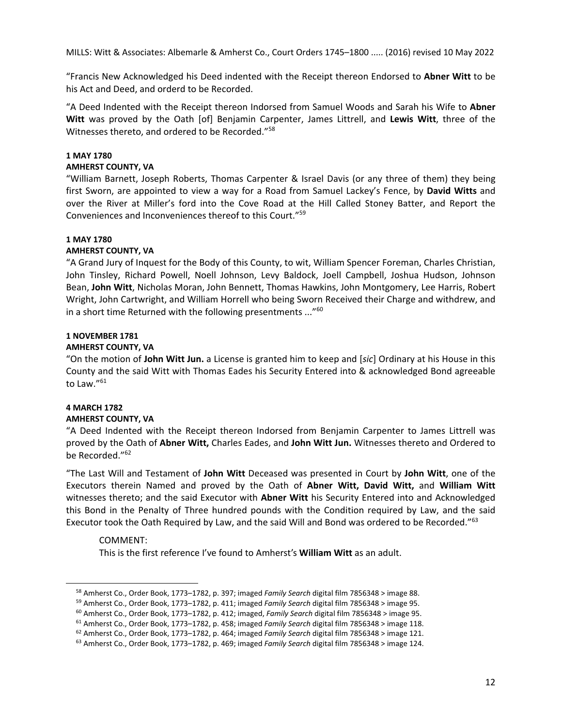"Francis New Acknowledged his Deed indented with the Receipt thereon Endorsed to **Abner Witt** to be his Act and Deed, and orderd to be Recorded.

"A Deed Indented with the Receipt thereon Indorsed from Samuel Woods and Sarah his Wife to **Abner Witt** was proved by the Oath [of] Benjamin Carpenter, James Littrell, and **Lewis Witt**, three of the Witnesses thereto, and ordered to be Recorded."58

#### **1 MAY 1780**

#### **AMHERST COUNTY, VA**

"William Barnett, Joseph Roberts, Thomas Carpenter & Israel Davis (or any three of them) they being first Sworn, are appointed to view a way for a Road from Samuel Lackey's Fence, by **David Witts** and over the River at Miller's ford into the Cove Road at the Hill Called Stoney Batter, and Report the Conveniences and Inconveniences thereof to this Court."59

#### **1 MAY 1780**

#### **AMHERST COUNTY, VA**

"A Grand Jury of Inquest for the Body of this County, to wit, William Spencer Foreman, Charles Christian, John Tinsley, Richard Powell, Noell Johnson, Levy Baldock, Joell Campbell, Joshua Hudson, Johnson Bean, **John Witt**, Nicholas Moran, John Bennett, Thomas Hawkins, John Montgomery, Lee Harris, Robert Wright, John Cartwright, and William Horrell who being Sworn Received their Charge and withdrew, and in a short time Returned with the following presentments ..."<sup>60</sup>

#### **1 NOVEMBER 1781**

#### **AMHERST COUNTY, VA**

"On the motion of **John Witt Jun.** a License is granted him to keep and [*sic*] Ordinary at his House in this County and the said Witt with Thomas Eades his Security Entered into & acknowledged Bond agreeable to Law."<sup>61</sup>

## **4 MARCH 1782**

## **AMHERST COUNTY, VA**

"A Deed Indented with the Receipt thereon Indorsed from Benjamin Carpenter to James Littrell was proved by the Oath of **Abner Witt,** Charles Eades, and **John Witt Jun.** Witnesses thereto and Ordered to be Recorded."<sup>62</sup>

"The Last Will and Testament of **John Witt** Deceased was presented in Court by **John Witt**, one of the Executors therein Named and proved by the Oath of **Abner Witt, David Witt,** and **William Witt** witnesses thereto; and the said Executor with **Abner Witt** his Security Entered into and Acknowledged this Bond in the Penalty of Three hundred pounds with the Condition required by Law, and the said Executor took the Oath Required by Law, and the said Will and Bond was ordered to be Recorded."<sup>63</sup>

## COMMENT:

This is the first reference I've found to Amherst's **William Witt** as an adult.

<sup>&</sup>lt;sup>58</sup> Amherst Co., Order Book, 1773–1782, p. 397; imaged *Family Search* digital film 7856348 > image 88.<br><sup>59</sup> Amherst Co., Order Book, 1773–1782, p. 411; imaged *Family Search* digital film 7856348 > image 95.<br><sup>60</sup> Amhers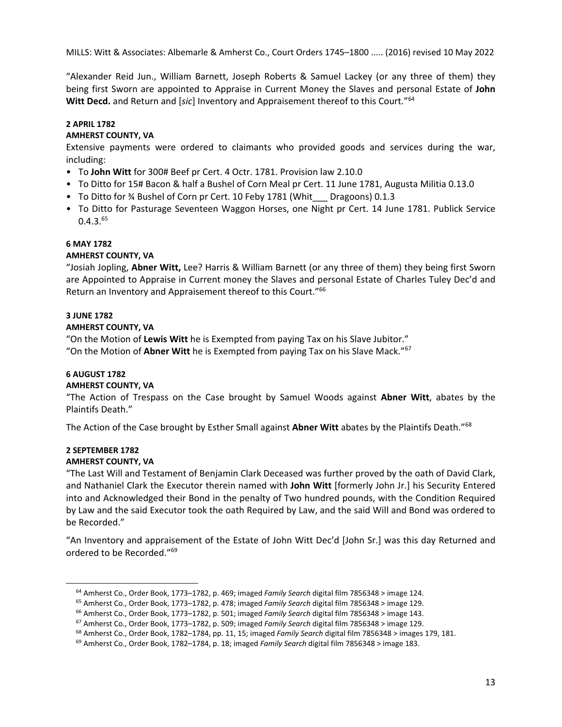"Alexander Reid Jun., William Barnett, Joseph Roberts & Samuel Lackey (or any three of them) they being first Sworn are appointed to Appraise in Current Money the Slaves and personal Estate of **John Witt Decd.** and Return and [*sic*] Inventory and Appraisement thereof to this Court."64

# **2 APRIL 1782**

# **AMHERST COUNTY, VA**

Extensive payments were ordered to claimants who provided goods and services during the war, including:

- To **John Witt** for 300# Beef pr Cert. 4 Octr. 1781. Provision law 2.10.0
- To Ditto for 15# Bacon & half a Bushel of Corn Meal pr Cert. 11 June 1781, Augusta Militia 0.13.0
- To Ditto for 3/4 Bushel of Corn pr Cert. 10 Feby 1781 (Whit Dragoons) 0.1.3
- To Ditto for Pasturage Seventeen Waggon Horses, one Night pr Cert. 14 June 1781. Publick Service  $0.4.3^{65}$

## **6 MAY 1782**

## **AMHERST COUNTY, VA**

"Josiah Jopling, **Abner Witt,** Lee? Harris & William Barnett (or any three of them) they being first Sworn are Appointed to Appraise in Current money the Slaves and personal Estate of Charles Tuley Dec'd and Return an Inventory and Appraisement thereof to this Court."66

# **3 JUNE 1782**

# **AMHERST COUNTY, VA**

"On the Motion of **Lewis Witt** he is Exempted from paying Tax on his Slave Jubitor." "On the Motion of **Abner Witt** he is Exempted from paying Tax on his Slave Mack."67

# **6 AUGUST 1782**

# **AMHERST COUNTY, VA**

"The Action of Trespass on the Case brought by Samuel Woods against **Abner Witt**, abates by the Plaintifs Death."

The Action of the Case brought by Esther Small against **Abner Witt** abates by the Plaintifs Death."68

# **2 SEPTEMBER 1782**

## **AMHERST COUNTY, VA**

"The Last Will and Testament of Benjamin Clark Deceased was further proved by the oath of David Clark, and Nathaniel Clark the Executor therein named with **John Witt** [formerly John Jr.] his Security Entered into and Acknowledged their Bond in the penalty of Two hundred pounds, with the Condition Required by Law and the said Executor took the oath Required by Law, and the said Will and Bond was ordered to be Recorded."

"An Inventory and appraisement of the Estate of John Witt Dec'd [John Sr.] was this day Returned and ordered to be Recorded."69

<sup>&</sup>lt;sup>64</sup> Amherst Co., Order Book, 1773–1782, p. 469; imaged *Family Search* digital film 7856348 > image 124.<br>
<sup>65</sup> Amherst Co., Order Book, 1773–1782, p. 478; imaged *Family Search* digital film 7856348 > image 129.<br>
<sup>66</sup> Am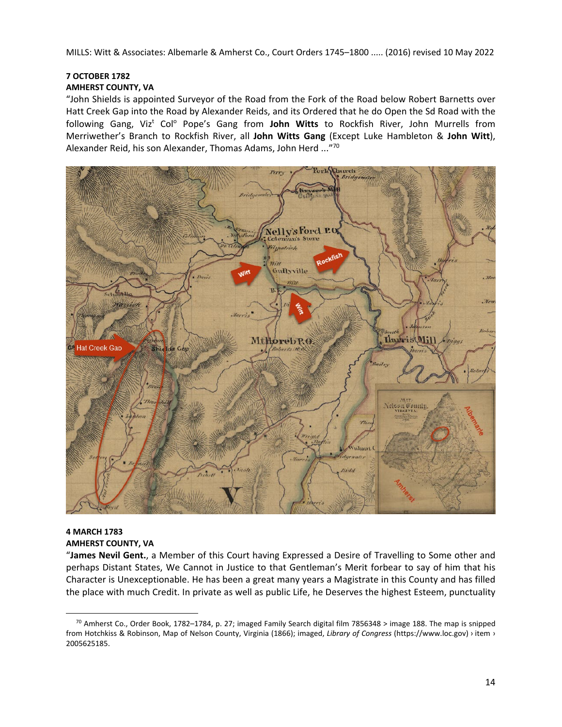# **7 OCTOBER 1782**

# **AMHERST COUNTY, VA**

"John Shields is appointed Surveyor of the Road from the Fork of the Road below Robert Barnetts over Hatt Creek Gap into the Road by Alexander Reids, and its Ordered that he do Open the Sd Road with the following Gang, Viz<sup>t</sup> Col<sup>o</sup> Pope's Gang from **John Witts** to Rockfish River, John Murrells from Merriwether's Branch to Rockfish River, all **John Witts Gang** (Except Luke Hambleton & **John Witt**), Alexander Reid, his son Alexander, Thomas Adams, John Herd ..."70



# **4 MARCH 1783 AMHERST COUNTY, VA**

"**James Nevil Gent.**, a Member of this Court having Expressed a Desire of Travelling to Some other and perhaps Distant States, We Cannot in Justice to that Gentleman's Merit forbear to say of him that his Character is Unexceptionable. He has been a great many years a Magistrate in this County and has filled the place with much Credit. In private as well as public Life, he Deserves the highest Esteem, punctuality

 $70$  Amherst Co., Order Book, 1782–1784, p. 27; imaged Family Search digital film 7856348 > image 188. The map is snipped from Hotchkiss & Robinson, Map of Nelson County, Virginia (1866); imaged, *Library of Congress* (https://www.loc.gov) › item › 2005625185.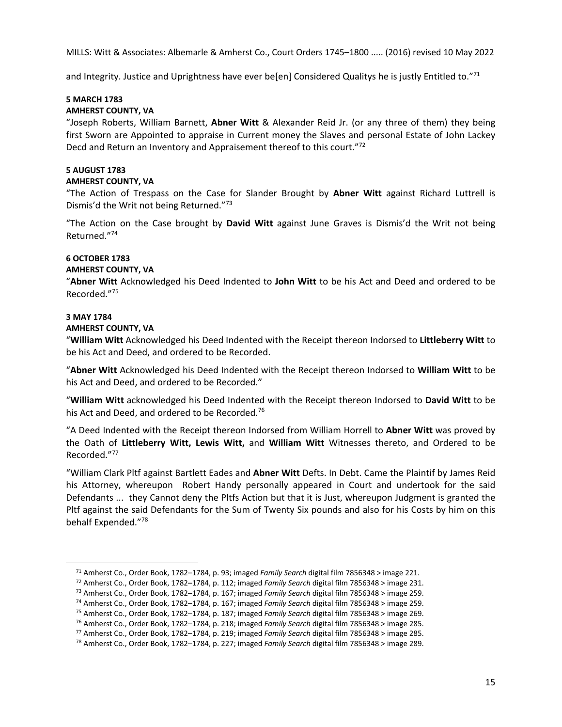and Integrity. Justice and Uprightness have ever be[en] Considered Qualitys he is justly Entitled to."71

# **5 MARCH 1783 AMHERST COUNTY, VA**

"Joseph Roberts, William Barnett, **Abner Witt** & Alexander Reid Jr. (or any three of them) they being first Sworn are Appointed to appraise in Current money the Slaves and personal Estate of John Lackey Decd and Return an Inventory and Appraisement thereof to this court."72

# **5 AUGUST 1783**

# **AMHERST COUNTY, VA**

"The Action of Trespass on the Case for Slander Brought by **Abner Witt** against Richard Luttrell is Dismis'd the Writ not being Returned."73

"The Action on the Case brought by **David Witt** against June Graves is Dismis'd the Writ not being Returned."74

# **6 OCTOBER 1783**

# **AMHERST COUNTY, VA**

"**Abner Witt** Acknowledged his Deed Indented to **John Witt** to be his Act and Deed and ordered to be Recorded."75

# **3 MAY 1784**

## **AMHERST COUNTY, VA**

"**William Witt** Acknowledged his Deed Indented with the Receipt thereon Indorsed to **Littleberry Witt** to be his Act and Deed, and ordered to be Recorded.

"**Abner Witt** Acknowledged his Deed Indented with the Receipt thereon Indorsed to **William Witt** to be his Act and Deed, and ordered to be Recorded."

"**William Witt** acknowledged his Deed Indented with the Receipt thereon Indorsed to **David Witt** to be his Act and Deed, and ordered to be Recorded.<sup>76</sup>

"A Deed Indented with the Receipt thereon Indorsed from William Horrell to **Abner Witt** was proved by the Oath of **Littleberry Witt, Lewis Witt,** and **William Witt** Witnesses thereto, and Ordered to be Recorded."77

"William Clark Pltf against Bartlett Eades and **Abner Witt** Defts. In Debt. Came the Plaintif by James Reid his Attorney, whereupon Robert Handy personally appeared in Court and undertook for the said Defendants ... they Cannot deny the Pltfs Action but that it is Just, whereupon Judgment is granted the Pltf against the said Defendants for the Sum of Twenty Six pounds and also for his Costs by him on this behalf Expended."78

<sup>&</sup>lt;sup>71</sup> Amherst Co., Order Book, 1782–1784, p. 93; imaged *Family Search digital film 7856348* > image 221.<br><sup>72</sup> Amherst Co., Order Book, 1782–1784, p. 112; imaged *Family Search digital film 7856348* > image 231.<br><sup>73</sup> Amher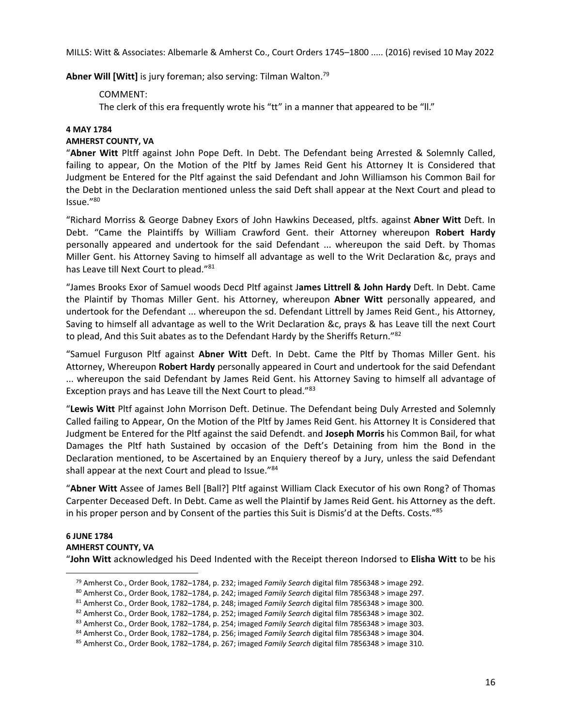Abner Will [Witt] is jury foreman; also serving: Tilman Walton.<sup>79</sup>

# COMMENT:

The clerk of this era frequently wrote his "tt" in a manner that appeared to be "II."

# **4 MAY 1784**

# **AMHERST COUNTY, VA**

"**Abner Witt** Pltff against John Pope Deft. In Debt. The Defendant being Arrested & Solemnly Called, failing to appear, On the Motion of the Pltf by James Reid Gent his Attorney It is Considered that Judgment be Entered for the Pltf against the said Defendant and John Williamson his Common Bail for the Debt in the Declaration mentioned unless the said Deft shall appear at the Next Court and plead to Issue."80

"Richard Morriss & George Dabney Exors of John Hawkins Deceased, pltfs. against **Abner Witt** Deft. In Debt. "Came the Plaintiffs by William Crawford Gent. their Attorney whereupon **Robert Hardy** personally appeared and undertook for the said Defendant ... whereupon the said Deft. by Thomas Miller Gent. his Attorney Saving to himself all advantage as well to the Writ Declaration &c, prays and has Leave till Next Court to plead."81

"James Brooks Exor of Samuel woods Decd Pltf against J**ames Littrell & John Hardy** Deft. In Debt. Came the Plaintif by Thomas Miller Gent. his Attorney, whereupon **Abner Witt** personally appeared, and undertook for the Defendant ... whereupon the sd. Defendant Littrell by James Reid Gent., his Attorney, Saving to himself all advantage as well to the Writ Declaration &c, prays & has Leave till the next Court to plead, And this Suit abates as to the Defendant Hardy by the Sheriffs Return."82

"Samuel Furguson Pltf against **Abner Witt** Deft. In Debt. Came the Pltf by Thomas Miller Gent. his Attorney, Whereupon **Robert Hardy** personally appeared in Court and undertook for the said Defendant ... whereupon the said Defendant by James Reid Gent. his Attorney Saving to himself all advantage of Exception prays and has Leave till the Next Court to plead."<sup>83</sup>

"**Lewis Witt** Pltf against John Morrison Deft. Detinue. The Defendant being Duly Arrested and Solemnly Called failing to Appear, On the Motion of the Pltf by James Reid Gent. his Attorney It is Considered that Judgment be Entered for the Pltf against the said Defendt. and **Joseph Morris** his Common Bail, for what Damages the Pltf hath Sustained by occasion of the Deft's Detaining from him the Bond in the Declaration mentioned, to be Ascertained by an Enquiery thereof by a Jury, unless the said Defendant shall appear at the next Court and plead to Issue."84

"**Abner Witt** Assee of James Bell [Ball?] Pltf against William Clack Executor of his own Rong? of Thomas Carpenter Deceased Deft. In Debt. Came as well the Plaintif by James Reid Gent. his Attorney as the deft. in his proper person and by Consent of the parties this Suit is Dismis'd at the Defts. Costs."85

# **6 JUNE 1784 AMHERST COUNTY, VA**  "**John Witt** acknowledged his Deed Indented with the Receipt thereon Indorsed to **Elisha Witt** to be his

<sup>&</sup>lt;sup>79</sup> Amherst Co., Order Book, 1782–1784, p. 232; imaged *Family Search digital film 7856348 > image 292*.<br><sup>80</sup> Amherst Co., Order Book, 1782–1784, p. 242; imaged *Family Search digital film 7856348 > image 297*.<br><sup>81</sup> Amhe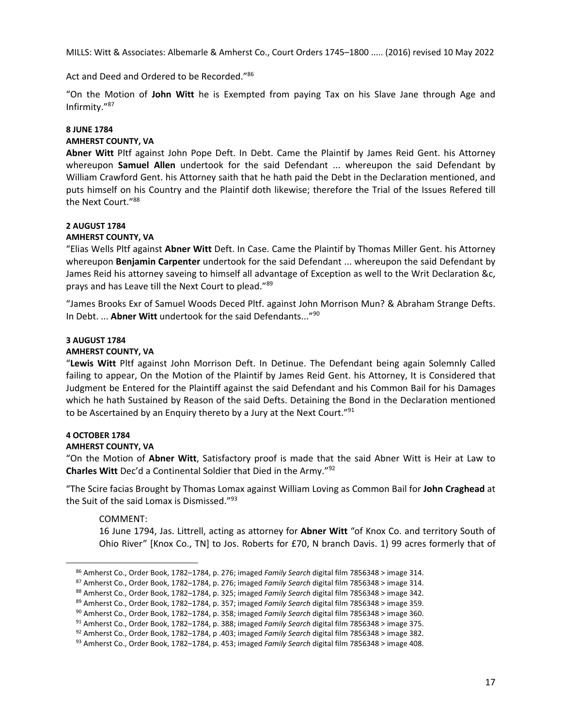Act and Deed and Ordered to be Recorded."86

"On the Motion of **John Witt** he is Exempted from paying Tax on his Slave Jane through Age and Infirmity."87

# **8 JUNE 1784**

# **AMHERST COUNTY, VA**

**Abner Witt** Pltf against John Pope Deft. In Debt. Came the Plaintif by James Reid Gent. his Attorney whereupon **Samuel Allen** undertook for the said Defendant ... whereupon the said Defendant by William Crawford Gent. his Attorney saith that he hath paid the Debt in the Declaration mentioned, and puts himself on his Country and the Plaintif doth likewise; therefore the Trial of the Issues Refered till the Next Court."88

# **2 AUGUST 1784**

# **AMHERST COUNTY, VA**

"Elias Wells Pltf against **Abner Witt** Deft. In Case. Came the Plaintif by Thomas Miller Gent. his Attorney whereupon **Benjamin Carpenter** undertook for the said Defendant ... whereupon the said Defendant by James Reid his attorney saveing to himself all advantage of Exception as well to the Writ Declaration &c, prays and has Leave till the Next Court to plead."89

"James Brooks Exr of Samuel Woods Deced Pltf. against John Morrison Mun? & Abraham Strange Defts. In Debt. ... **Abner Witt** undertook for the said Defendants..."90

# **3 AUGUST 1784**

# **AMHERST COUNTY, VA**

"**Lewis Witt** Pltf against John Morrison Deft. In Detinue. The Defendant being again Solemnly Called failing to appear, On the Motion of the Plaintif by James Reid Gent. his Attorney, It is Considered that Judgment be Entered for the Plaintiff against the said Defendant and his Common Bail for his Damages which he hath Sustained by Reason of the said Defts. Detaining the Bond in the Declaration mentioned to be Ascertained by an Enquiry thereto by a Jury at the Next Court."91

# **4 OCTOBER 1784**

## **AMHERST COUNTY, VA**

"On the Motion of **Abner Witt**, Satisfactory proof is made that the said Abner Witt is Heir at Law to **Charles Witt** Dec'd a Continental Soldier that Died in the Army."92

"The Scire facias Brought by Thomas Lomax against William Loving as Common Bail for **John Craghead** at the Suit of the said Lomax is Dismissed."93

# COMMENT:

16 June 1794, Jas. Littrell, acting as attorney for **Abner Witt** "of Knox Co. and territory South of Ohio River" [Knox Co., TN] to Jos. Roberts for £70, N branch Davis. 1) 99 acres formerly that of

<sup>&</sup>lt;sup>86</sup> Amherst Co., Order Book, 1782–1784, p. 276; imaged *Family Search* digital film 7856348 > image 314.<br>
<sup>87</sup> Amherst Co., Order Book, 1782–1784, p. 276; imaged *Family Search* digital film 7856348 > image 314.<br>
<sup>87</sup> Am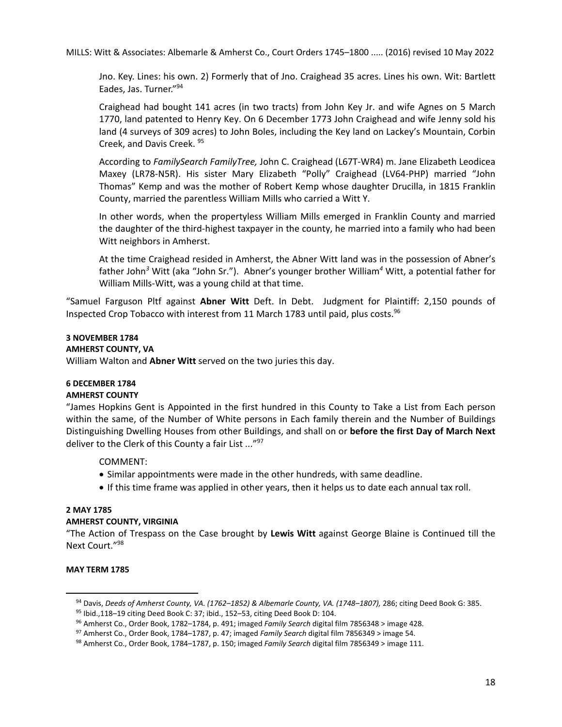Jno. Key. Lines: his own. 2) Formerly that of Jno. Craighead 35 acres. Lines his own. Wit: Bartlett Eades, Jas. Turner."94

Craighead had bought 141 acres (in two tracts) from John Key Jr. and wife Agnes on 5 March 1770, land patented to Henry Key. On 6 December 1773 John Craighead and wife Jenny sold his land (4 surveys of 309 acres) to John Boles, including the Key land on Lackey's Mountain, Corbin Creek, and Davis Creek. 95

According to *FamilySearch FamilyTree,* John C. Craighead (L67T-WR4) m. Jane Elizabeth Leodicea Maxey (LR78-N5R). His sister Mary Elizabeth "Polly" Craighead (LV64-PHP) married "John Thomas" Kemp and was the mother of Robert Kemp whose daughter Drucilla, in 1815 Franklin County, married the parentless William Mills who carried a Witt Y.

In other words, when the propertyless William Mills emerged in Franklin County and married the daughter of the third-highest taxpayer in the county, he married into a family who had been Witt neighbors in Amherst.

At the time Craighead resided in Amherst, the Abner Witt land was in the possession of Abner's father John*<sup>3</sup>* Witt (aka "John Sr."). Abner's younger brother William*<sup>4</sup>* Witt, a potential father for William Mills-Witt, was a young child at that time.

"Samuel Farguson Pltf against **Abner Witt** Deft. In Debt. Judgment for Plaintiff: 2,150 pounds of Inspected Crop Tobacco with interest from 11 March 1783 until paid, plus costs.<sup>96</sup>

# **3 NOVEMBER 1784**

## **AMHERST COUNTY, VA**

William Walton and **Abner Witt** served on the two juries this day.

# **6 DECEMBER 1784**

# **AMHERST COUNTY**

"James Hopkins Gent is Appointed in the first hundred in this County to Take a List from Each person within the same, of the Number of White persons in Each family therein and the Number of Buildings Distinguishing Dwelling Houses from other Buildings, and shall on or **before the first Day of March Next** deliver to the Clerk of this County a fair List ..."<sup>97</sup>

# COMMENT:

- Similar appointments were made in the other hundreds, with same deadline.
- If this time frame was applied in other years, then it helps us to date each annual tax roll.

## **2 MAY 1785**

## **AMHERST COUNTY, VIRGINIA**

"The Action of Trespass on the Case brought by **Lewis Witt** against George Blaine is Continued till the Next Court."98

# **MAY TERM 1785**

<sup>&</sup>lt;sup>94</sup> Davis, *Deeds of Amherst County, VA.*  $(1762-1852)$  & *Albemarle County, VA.*  $(1748-1807)$ , 286; citing Deed Book G: 385.<br><sup>95</sup> Ibid.,118–19 citing Deed Book C: 37; ibid., 152–53, citing Deed Book D: 104.<br><sup>96</sup> Amhers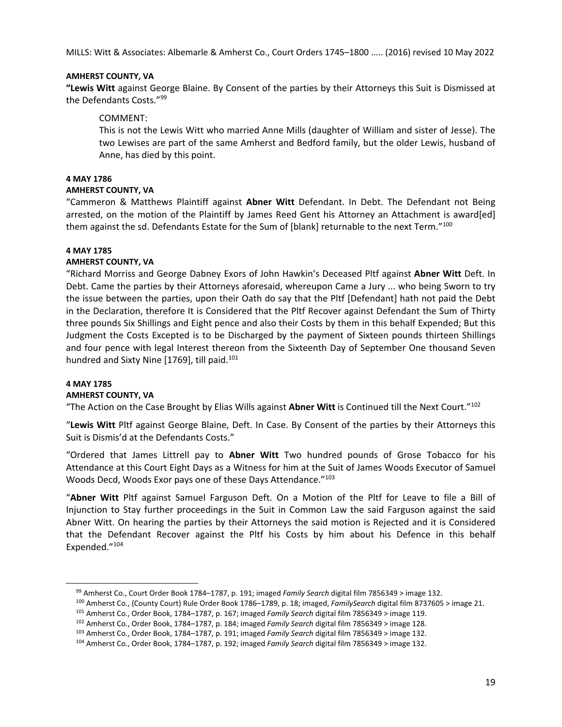# **AMHERST COUNTY, VA**

**"Lewis Witt** against George Blaine. By Consent of the parties by their Attorneys this Suit is Dismissed at the Defendants Costs."99

# COMMENT:

This is not the Lewis Witt who married Anne Mills (daughter of William and sister of Jesse). The two Lewises are part of the same Amherst and Bedford family, but the older Lewis, husband of Anne, has died by this point.

#### **4 MAY 1786**

#### **AMHERST COUNTY, VA**

"Cammeron & Matthews Plaintiff against **Abner Witt** Defendant. In Debt. The Defendant not Being arrested, on the motion of the Plaintiff by James Reed Gent his Attorney an Attachment is award[ed] them against the sd. Defendants Estate for the Sum of [blank] returnable to the next Term."100

## **4 MAY 1785**

## **AMHERST COUNTY, VA**

"Richard Morriss and George Dabney Exors of John Hawkin's Deceased Pltf against **Abner Witt** Deft. In Debt. Came the parties by their Attorneys aforesaid, whereupon Came a Jury ... who being Sworn to try the issue between the parties, upon their Oath do say that the Pltf [Defendant] hath not paid the Debt in the Declaration, therefore It is Considered that the Pltf Recover against Defendant the Sum of Thirty three pounds Six Shillings and Eight pence and also their Costs by them in this behalf Expended; But this Judgment the Costs Excepted is to be Discharged by the payment of Sixteen pounds thirteen Shillings and four pence with legal Interest thereon from the Sixteenth Day of September One thousand Seven hundred and Sixty Nine [1769], till paid.<sup>101</sup>

# **4 MAY 1785**

## **AMHERST COUNTY, VA**

"The Action on the Case Brought by Elias Wills against **Abner Witt** is Continued till the Next Court."102

"**Lewis Witt** Pltf against George Blaine, Deft. In Case. By Consent of the parties by their Attorneys this Suit is Dismis'd at the Defendants Costs."

"Ordered that James Littrell pay to **Abner Witt** Two hundred pounds of Grose Tobacco for his Attendance at this Court Eight Days as a Witness for him at the Suit of James Woods Executor of Samuel Woods Decd, Woods Exor pays one of these Days Attendance."103

"**Abner Witt** Pltf against Samuel Farguson Deft. On a Motion of the Pltf for Leave to file a Bill of Injunction to Stay further proceedings in the Suit in Common Law the said Farguson against the said Abner Witt. On hearing the parties by their Attorneys the said motion is Rejected and it is Considered that the Defendant Recover against the Pltf his Costs by him about his Defence in this behalf Expended."104

<sup>&</sup>lt;sup>99</sup> Amherst Co., Court Order Book 1784–1787, p. 191; imaged *Family Search* digital film 7856349 > image 132.<br><sup>100</sup> Amherst Co., (County Court) Rule Order Book 1786–1789, p. 18; imaged, *FamilySearch* digital film 873760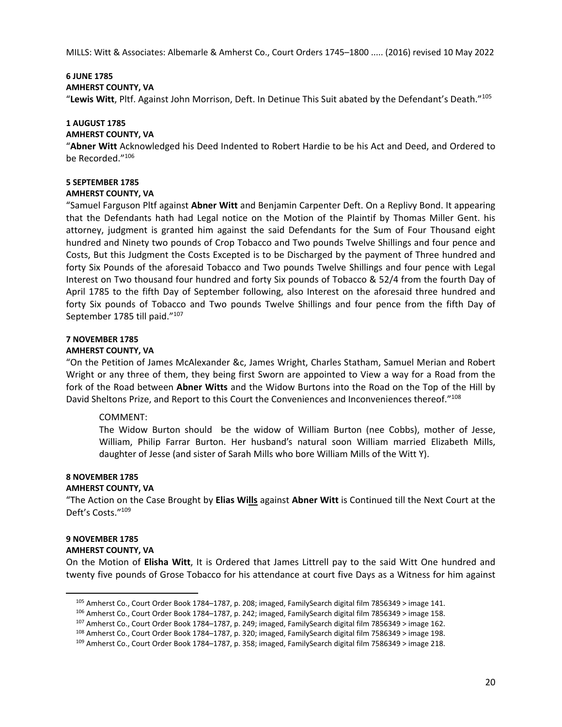# **6 JUNE 1785**

#### **AMHERST COUNTY, VA**

"**Lewis Witt**, Pltf. Against John Morrison, Deft. In Detinue This Suit abated by the Defendant's Death."105

## **1 AUGUST 1785**

#### **AMHERST COUNTY, VA**

"**Abner Witt** Acknowledged his Deed Indented to Robert Hardie to be his Act and Deed, and Ordered to be Recorded."106

# **5 SEPTEMBER 1785**

#### **AMHERST COUNTY, VA**

"Samuel Farguson Pltf against **Abner Witt** and Benjamin Carpenter Deft. On a Replivy Bond. It appearing that the Defendants hath had Legal notice on the Motion of the Plaintif by Thomas Miller Gent. his attorney, judgment is granted him against the said Defendants for the Sum of Four Thousand eight hundred and Ninety two pounds of Crop Tobacco and Two pounds Twelve Shillings and four pence and Costs, But this Judgment the Costs Excepted is to be Discharged by the payment of Three hundred and forty Six Pounds of the aforesaid Tobacco and Two pounds Twelve Shillings and four pence with Legal Interest on Two thousand four hundred and forty Six pounds of Tobacco & 52/4 from the fourth Day of April 1785 to the fifth Day of September following, also Interest on the aforesaid three hundred and forty Six pounds of Tobacco and Two pounds Twelve Shillings and four pence from the fifth Day of September 1785 till paid."<sup>107</sup>

## **7 NOVEMBER 1785**

#### **AMHERST COUNTY, VA**

"On the Petition of James McAlexander &c, James Wright, Charles Statham, Samuel Merian and Robert Wright or any three of them, they being first Sworn are appointed to View a way for a Road from the fork of the Road between **Abner Witts** and the Widow Burtons into the Road on the Top of the Hill by David Sheltons Prize, and Report to this Court the Conveniences and Inconveniences thereof."108

## COMMENT:

The Widow Burton should be the widow of William Burton (nee Cobbs), mother of Jesse, William, Philip Farrar Burton. Her husband's natural soon William married Elizabeth Mills, daughter of Jesse (and sister of Sarah Mills who bore William Mills of the Witt Y).

# **8 NOVEMBER 1785**

#### **AMHERST COUNTY, VA**

"The Action on the Case Brought by **Elias Wills** against **Abner Witt** is Continued till the Next Court at the Deft's Costs."109

## **9 NOVEMBER 1785**

#### **AMHERST COUNTY, VA**

On the Motion of **Elisha Witt**, It is Ordered that James Littrell pay to the said Witt One hundred and twenty five pounds of Grose Tobacco for his attendance at court five Days as a Witness for him against

<sup>&</sup>lt;sup>105</sup> Amherst Co., Court Order Book 1784–1787, p. 208; imaged, FamilySearch digital film 7856349 > image 141.<br><sup>106</sup> Amherst Co., Court Order Book 1784–1787, p. 242; imaged, FamilySearch digital film 7856349 > image 158.<br><sup></sup>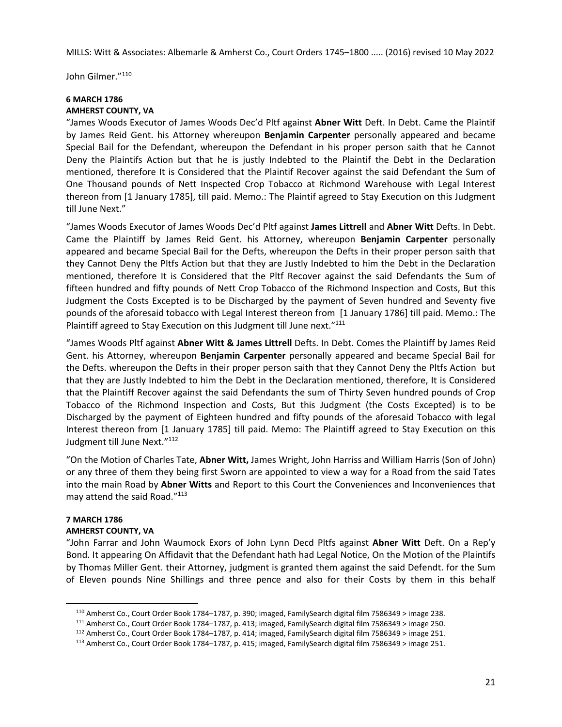John Gilmer."110

## **6 MARCH 1786 AMHERST COUNTY, VA**

"James Woods Executor of James Woods Dec'd Pltf against **Abner Witt** Deft. In Debt. Came the Plaintif by James Reid Gent. his Attorney whereupon **Benjamin Carpenter** personally appeared and became Special Bail for the Defendant, whereupon the Defendant in his proper person saith that he Cannot Deny the Plaintifs Action but that he is justly Indebted to the Plaintif the Debt in the Declaration mentioned, therefore It is Considered that the Plaintif Recover against the said Defendant the Sum of One Thousand pounds of Nett Inspected Crop Tobacco at Richmond Warehouse with Legal Interest thereon from [1 January 1785], till paid. Memo.: The Plaintif agreed to Stay Execution on this Judgment till June Next."

"James Woods Executor of James Woods Dec'd Pltf against **James Littrell** and **Abner Witt** Defts. In Debt. Came the Plaintiff by James Reid Gent. his Attorney, whereupon **Benjamin Carpenter** personally appeared and became Special Bail for the Defts, whereupon the Defts in their proper person saith that they Cannot Deny the Pltfs Action but that they are Justly Indebted to him the Debt in the Declaration mentioned, therefore It is Considered that the Pltf Recover against the said Defendants the Sum of fifteen hundred and fifty pounds of Nett Crop Tobacco of the Richmond Inspection and Costs, But this Judgment the Costs Excepted is to be Discharged by the payment of Seven hundred and Seventy five pounds of the aforesaid tobacco with Legal Interest thereon from [1 January 1786] till paid. Memo.: The Plaintiff agreed to Stay Execution on this Judgment till June next."<sup>111</sup>

"James Woods Pltf against **Abner Witt & James Littrell** Defts. In Debt. Comes the Plaintiff by James Reid Gent. his Attorney, whereupon **Benjamin Carpenter** personally appeared and became Special Bail for the Defts. whereupon the Defts in their proper person saith that they Cannot Deny the Pltfs Action but that they are Justly Indebted to him the Debt in the Declaration mentioned, therefore, It is Considered that the Plaintiff Recover against the said Defendants the sum of Thirty Seven hundred pounds of Crop Tobacco of the Richmond Inspection and Costs, But this Judgment (the Costs Excepted) is to be Discharged by the payment of Eighteen hundred and fifty pounds of the aforesaid Tobacco with legal Interest thereon from [1 January 1785] till paid. Memo: The Plaintiff agreed to Stay Execution on this Judgment till June Next."112

"On the Motion of Charles Tate, **Abner Witt,** James Wright, John Harriss and William Harris (Son of John) or any three of them they being first Sworn are appointed to view a way for a Road from the said Tates into the main Road by **Abner Witts** and Report to this Court the Conveniences and Inconveniences that may attend the said Road."<sup>113</sup>

# **7 MARCH 1786**

## **AMHERST COUNTY, VA**

"John Farrar and John Waumock Exors of John Lynn Decd Pltfs against **Abner Witt** Deft. On a Rep'y Bond. It appearing On Affidavit that the Defendant hath had Legal Notice, On the Motion of the Plaintifs by Thomas Miller Gent. their Attorney, judgment is granted them against the said Defendt. for the Sum of Eleven pounds Nine Shillings and three pence and also for their Costs by them in this behalf

<sup>&</sup>lt;sup>110</sup> Amherst Co., Court Order Book 1784–1787, p. 390; imaged, FamilySearch digital film 7586349 > image 238.<br><sup>111</sup> Amherst Co., Court Order Book 1784–1787, p. 413; imaged, FamilySearch digital film 7586349 > image 250.<br><sup></sup>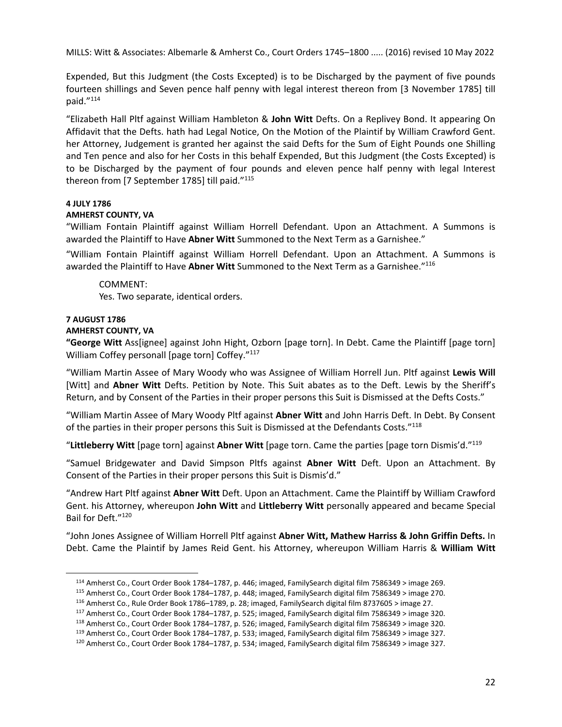Expended, But this Judgment (the Costs Excepted) is to be Discharged by the payment of five pounds fourteen shillings and Seven pence half penny with legal interest thereon from [3 November 1785] till paid."114

"Elizabeth Hall Pltf against William Hambleton & **John Witt** Defts. On a Replivey Bond. It appearing On Affidavit that the Defts. hath had Legal Notice, On the Motion of the Plaintif by William Crawford Gent. her Attorney, Judgement is granted her against the said Defts for the Sum of Eight Pounds one Shilling and Ten pence and also for her Costs in this behalf Expended, But this Judgment (the Costs Excepted) is to be Discharged by the payment of four pounds and eleven pence half penny with legal Interest thereon from [7 September 1785] till paid."115

## **4 JULY 1786**

## **AMHERST COUNTY, VA**

"William Fontain Plaintiff against William Horrell Defendant. Upon an Attachment. A Summons is awarded the Plaintiff to Have **Abner Witt** Summoned to the Next Term as a Garnishee."

"William Fontain Plaintiff against William Horrell Defendant. Upon an Attachment. A Summons is awarded the Plaintiff to Have **Abner Witt** Summoned to the Next Term as a Garnishee."116

#### COMMENT:

Yes. Two separate, identical orders.

# **7 AUGUST 1786**

#### **AMHERST COUNTY, VA**

**"George Witt** Ass[ignee] against John Hight, Ozborn [page torn]. In Debt. Came the Plaintiff [page torn] William Coffey personall [page torn] Coffey."117

"William Martin Assee of Mary Woody who was Assignee of William Horrell Jun. Pltf against **Lewis Will** [Witt] and **Abner Witt** Defts. Petition by Note. This Suit abates as to the Deft. Lewis by the Sheriff's Return, and by Consent of the Parties in their proper persons this Suit is Dismissed at the Defts Costs."

"William Martin Assee of Mary Woody Pltf against **Abner Witt** and John Harris Deft. In Debt. By Consent of the parties in their proper persons this Suit is Dismissed at the Defendants Costs."118

"**Littleberry Witt** [page torn] against **Abner Witt** [page torn. Came the parties [page torn Dismis'd."119

"Samuel Bridgewater and David Simpson Pltfs against **Abner Witt** Deft. Upon an Attachment. By Consent of the Parties in their proper persons this Suit is Dismis'd."

"Andrew Hart Pltf against **Abner Witt** Deft. Upon an Attachment. Came the Plaintiff by William Crawford Gent. his Attorney, whereupon **John Witt** and **Littleberry Witt** personally appeared and became Special Bail for Deft."120

"John Jones Assignee of William Horrell Pltf against **Abner Witt, Mathew Harriss & John Griffin Defts.** In Debt. Came the Plaintif by James Reid Gent. his Attorney, whereupon William Harris & **William Witt** 

<sup>&</sup>lt;sup>114</sup> Amherst Co., Court Order Book 1784–1787, p. 446; imaged, FamilySearch digital film 7586349 > image 269.<br>
<sup>115</sup> Amherst Co., Court Order Book 1784–1787, p. 448; imaged, FamilySearch digital film 7586349 > image 270.<br>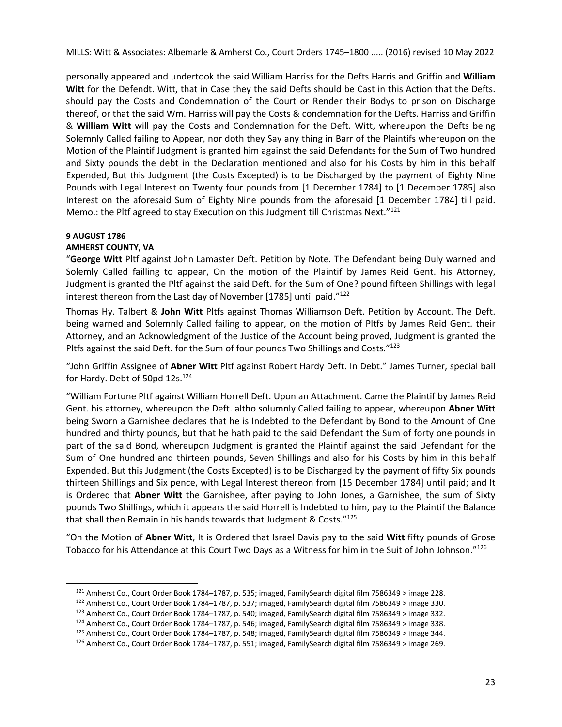personally appeared and undertook the said William Harriss for the Defts Harris and Griffin and **William Witt** for the Defendt. Witt, that in Case they the said Defts should be Cast in this Action that the Defts. should pay the Costs and Condemnation of the Court or Render their Bodys to prison on Discharge thereof, or that the said Wm. Harriss will pay the Costs & condemnation for the Defts. Harriss and Griffin & **William Witt** will pay the Costs and Condemnation for the Deft. Witt, whereupon the Defts being Solemnly Called failing to Appear, nor doth they Say any thing in Barr of the Plaintifs whereupon on the Motion of the Plaintif Judgment is granted him against the said Defendants for the Sum of Two hundred and Sixty pounds the debt in the Declaration mentioned and also for his Costs by him in this behalf Expended, But this Judgment (the Costs Excepted) is to be Discharged by the payment of Eighty Nine Pounds with Legal Interest on Twenty four pounds from [1 December 1784] to [1 December 1785] also Interest on the aforesaid Sum of Eighty Nine pounds from the aforesaid [1 December 1784] till paid. Memo.: the Pltf agreed to stay Execution on this Judgment till Christmas Next."<sup>121</sup>

## **9 AUGUST 1786**

# **AMHERST COUNTY, VA**

"**George Witt** Pltf against John Lamaster Deft. Petition by Note. The Defendant being Duly warned and Solemly Called failling to appear, On the motion of the Plaintif by James Reid Gent. his Attorney, Judgment is granted the Pltf against the said Deft. for the Sum of One? pound fifteen Shillings with legal interest thereon from the Last day of November [1785] until paid."122

Thomas Hy. Talbert & **John Witt** Pltfs against Thomas Williamson Deft. Petition by Account. The Deft. being warned and Solemnly Called failing to appear, on the motion of Pltfs by James Reid Gent. their Attorney, and an Acknowledgment of the Justice of the Account being proved, Judgment is granted the Pltfs against the said Deft. for the Sum of four pounds Two Shillings and Costs."<sup>123</sup>

"John Griffin Assignee of **Abner Witt** Pltf against Robert Hardy Deft. In Debt." James Turner, special bail for Hardy. Debt of 50pd 12s.<sup>124</sup>

"William Fortune Pltf against William Horrell Deft. Upon an Attachment. Came the Plaintif by James Reid Gent. his attorney, whereupon the Deft. altho solumnly Called failing to appear, whereupon **Abner Witt** being Sworn a Garnishee declares that he is Indebted to the Defendant by Bond to the Amount of One hundred and thirty pounds, but that he hath paid to the said Defendant the Sum of forty one pounds in part of the said Bond, whereupon Judgment is granted the Plaintif against the said Defendant for the Sum of One hundred and thirteen pounds, Seven Shillings and also for his Costs by him in this behalf Expended. But this Judgment (the Costs Excepted) is to be Discharged by the payment of fifty Six pounds thirteen Shillings and Six pence, with Legal Interest thereon from [15 December 1784] until paid; and It is Ordered that **Abner Witt** the Garnishee, after paying to John Jones, a Garnishee, the sum of Sixty pounds Two Shillings, which it appears the said Horrell is Indebted to him, pay to the Plaintif the Balance that shall then Remain in his hands towards that Judgment & Costs."<sup>125</sup>

"On the Motion of **Abner Witt**, It is Ordered that Israel Davis pay to the said **Witt** fifty pounds of Grose Tobacco for his Attendance at this Court Two Days as a Witness for him in the Suit of John Johnson."<sup>126</sup>

<sup>&</sup>lt;sup>121</sup> Amherst Co., Court Order Book 1784–1787, p. 535; imaged, FamilySearch digital film 7586349 > image 228.<br><sup>122</sup> Amherst Co., Court Order Book 1784–1787, p. 537; imaged, FamilySearch digital film 7586349 > image 330.<br><sup></sup>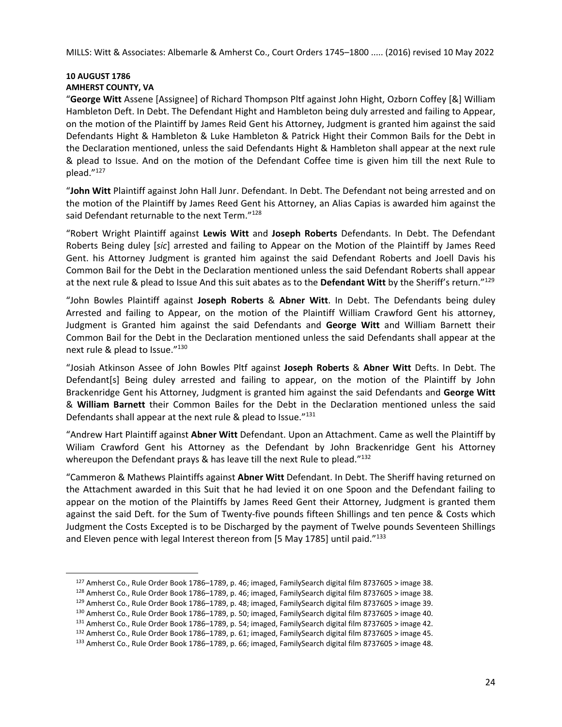#### **10 AUGUST 1786 AMHERST COUNTY, VA**

"**George Witt** Assene [Assignee] of Richard Thompson Pltf against John Hight, Ozborn Coffey [&] William Hambleton Deft. In Debt. The Defendant Hight and Hambleton being duly arrested and failing to Appear, on the motion of the Plaintiff by James Reid Gent his Attorney, Judgment is granted him against the said Defendants Hight & Hambleton & Luke Hambleton & Patrick Hight their Common Bails for the Debt in the Declaration mentioned, unless the said Defendants Hight & Hambleton shall appear at the next rule & plead to Issue. And on the motion of the Defendant Coffee time is given him till the next Rule to plead."127

"**John Witt** Plaintiff against John Hall Junr. Defendant. In Debt. The Defendant not being arrested and on the motion of the Plaintiff by James Reed Gent his Attorney, an Alias Capias is awarded him against the said Defendant returnable to the next Term."<sup>128</sup>

"Robert Wright Plaintiff against **Lewis Witt** and **Joseph Roberts** Defendants. In Debt. The Defendant Roberts Being duley [*sic*] arrested and failing to Appear on the Motion of the Plaintiff by James Reed Gent. his Attorney Judgment is granted him against the said Defendant Roberts and Joell Davis his Common Bail for the Debt in the Declaration mentioned unless the said Defendant Roberts shall appear at the next rule & plead to Issue And this suit abates as to the **Defendant Witt** by the Sheriff's return."129

"John Bowles Plaintiff against **Joseph Roberts** & **Abner Witt**. In Debt. The Defendants being duley Arrested and failing to Appear, on the motion of the Plaintiff William Crawford Gent his attorney, Judgment is Granted him against the said Defendants and **George Witt** and William Barnett their Common Bail for the Debt in the Declaration mentioned unless the said Defendants shall appear at the next rule & plead to Issue."130

"Josiah Atkinson Assee of John Bowles Pltf against **Joseph Roberts** & **Abner Witt** Defts. In Debt. The Defendant[s] Being duley arrested and failing to appear, on the motion of the Plaintiff by John Brackenridge Gent his Attorney, Judgment is granted him against the said Defendants and **George Witt** & **William Barnett** their Common Bailes for the Debt in the Declaration mentioned unless the said Defendants shall appear at the next rule & plead to Issue."<sup>131</sup>

"Andrew Hart Plaintiff against **Abner Witt** Defendant. Upon an Attachment. Came as well the Plaintiff by Wiliam Crawford Gent his Attorney as the Defendant by John Brackenridge Gent his Attorney whereupon the Defendant prays & has leave till the next Rule to plead."<sup>132</sup>

"Cammeron & Mathews Plaintiffs against **Abner Witt** Defendant. In Debt. The Sheriff having returned on the Attachment awarded in this Suit that he had levied it on one Spoon and the Defendant failing to appear on the motion of the Plaintiffs by James Reed Gent their Attorney, Judgment is granted them against the said Deft. for the Sum of Twenty-five pounds fifteen Shillings and ten pence & Costs which Judgment the Costs Excepted is to be Discharged by the payment of Twelve pounds Seventeen Shillings and Eleven pence with legal Interest thereon from [5 May 1785] until paid."<sup>133</sup>

<sup>&</sup>lt;sup>127</sup> Amherst Co., Rule Order Book 1786–1789, p. 46; imaged, FamilySearch digital film 8737605 > image 38.<br><sup>128</sup> Amherst Co., Rule Order Book 1786–1789, p. 46; imaged, FamilySearch digital film 8737605 > image 38.<br><sup>129</sup> A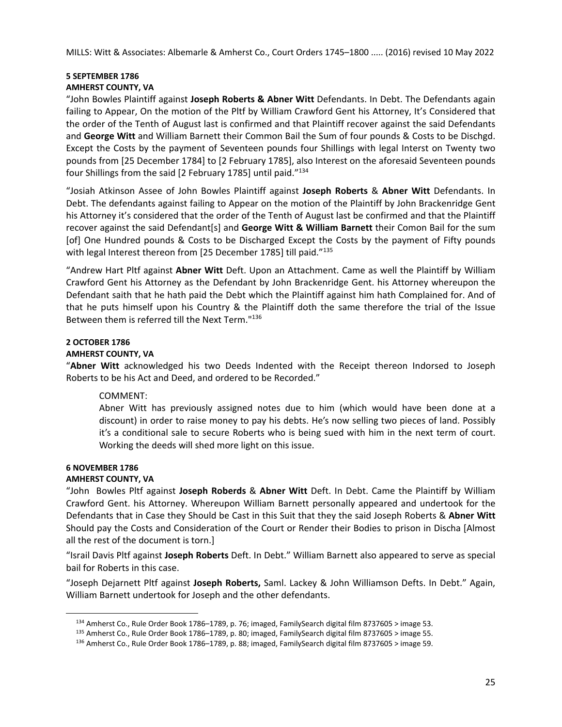# **5 SEPTEMBER 1786**

# **AMHERST COUNTY, VA**

"John Bowles Plaintiff against **Joseph Roberts & Abner Witt** Defendants. In Debt. The Defendants again failing to Appear, On the motion of the Pltf by William Crawford Gent his Attorney, It's Considered that the order of the Tenth of August last is confirmed and that Plaintiff recover against the said Defendants and **George Witt** and William Barnett their Common Bail the Sum of four pounds & Costs to be Dischgd. Except the Costs by the payment of Seventeen pounds four Shillings with legal Interst on Twenty two pounds from [25 December 1784] to [2 February 1785], also Interest on the aforesaid Seventeen pounds four Shillings from the said [2 February 1785] until paid."134

"Josiah Atkinson Assee of John Bowles Plaintiff against **Joseph Roberts** & **Abner Witt** Defendants. In Debt. The defendants against failing to Appear on the motion of the Plaintiff by John Brackenridge Gent his Attorney it's considered that the order of the Tenth of August last be confirmed and that the Plaintiff recover against the said Defendant[s] and **George Witt & William Barnett** their Comon Bail for the sum [of] One Hundred pounds & Costs to be Discharged Except the Costs by the payment of Fifty pounds with legal Interest thereon from [25 December 1785] till paid."<sup>135</sup>

"Andrew Hart Pltf against **Abner Witt** Deft. Upon an Attachment. Came as well the Plaintiff by William Crawford Gent his Attorney as the Defendant by John Brackenridge Gent. his Attorney whereupon the Defendant saith that he hath paid the Debt which the Plaintiff against him hath Complained for. And of that he puts himself upon his Country & the Plaintiff doth the same therefore the trial of the Issue Between them is referred till the Next Term."136

# **2 OCTOBER 1786**

# **AMHERST COUNTY, VA**

"**Abner Witt** acknowledged his two Deeds Indented with the Receipt thereon Indorsed to Joseph Roberts to be his Act and Deed, and ordered to be Recorded."

# COMMENT:

Abner Witt has previously assigned notes due to him (which would have been done at a discount) in order to raise money to pay his debts. He's now selling two pieces of land. Possibly it's a conditional sale to secure Roberts who is being sued with him in the next term of court. Working the deeds will shed more light on this issue.

# **6 NOVEMBER 1786**

# **AMHERST COUNTY, VA**

"John Bowles Pltf against **Joseph Roberds** & **Abner Witt** Deft. In Debt. Came the Plaintiff by William Crawford Gent. his Attorney. Whereupon William Barnett personally appeared and undertook for the Defendants that in Case they Should be Cast in this Suit that they the said Joseph Roberts & **Abner Witt** Should pay the Costs and Consideration of the Court or Render their Bodies to prison in Discha [Almost all the rest of the document is torn.]

"Israil Davis Pltf against **Joseph Roberts** Deft. In Debt." William Barnett also appeared to serve as special bail for Roberts in this case.

"Joseph Dejarnett Pltf against **Joseph Roberts,** Saml. Lackey & John Williamson Defts. In Debt." Again, William Barnett undertook for Joseph and the other defendants.

<sup>&</sup>lt;sup>134</sup> Amherst Co., Rule Order Book 1786–1789, p. 76; imaged, FamilySearch digital film 8737605 > image 53.<br><sup>135</sup> Amherst Co., Rule Order Book 1786–1789, p. 80; imaged, FamilySearch digital film 8737605 > image 55.<br><sup>136</sup> A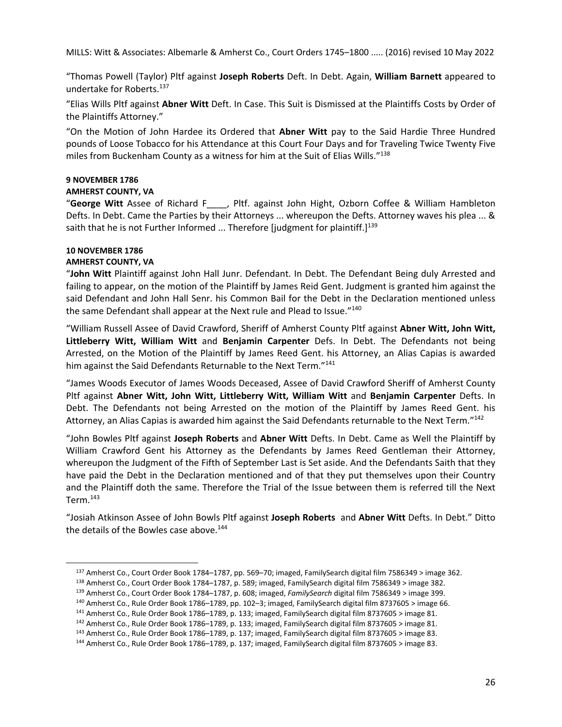"Thomas Powell (Taylor) Pltf against **Joseph Roberts** Deft. In Debt. Again, **William Barnett** appeared to undertake for Roberts.137

"Elias Wills Pltf against **Abner Witt** Deft. In Case. This Suit is Dismissed at the Plaintiffs Costs by Order of the Plaintiffs Attorney."

"On the Motion of John Hardee its Ordered that **Abner Witt** pay to the Said Hardie Three Hundred pounds of Loose Tobacco for his Attendance at this Court Four Days and for Traveling Twice Twenty Five miles from Buckenham County as a witness for him at the Suit of Elias Wills."138

# **9 NOVEMBER 1786**

# **AMHERST COUNTY, VA**

"**George Witt** Assee of Richard F\_\_\_\_, Pltf. against John Hight, Ozborn Coffee & William Hambleton Defts. In Debt. Came the Parties by their Attorneys ... whereupon the Defts. Attorney waves his plea ... & saith that he is not Further Informed ... Therefore [judgment for plaintiff.] $139$ 

# **10 NOVEMBER 1786**

# **AMHERST COUNTY, VA**

"**John Witt** Plaintiff against John Hall Junr. Defendant. In Debt. The Defendant Being duly Arrested and failing to appear, on the motion of the Plaintiff by James Reid Gent. Judgment is granted him against the said Defendant and John Hall Senr. his Common Bail for the Debt in the Declaration mentioned unless the same Defendant shall appear at the Next rule and Plead to Issue."<sup>140</sup>

"William Russell Assee of David Crawford, Sheriff of Amherst County Pltf against **Abner Witt, John Witt, Littleberry Witt, William Witt** and **Benjamin Carpenter** Defs. In Debt. The Defendants not being Arrested, on the Motion of the Plaintiff by James Reed Gent. his Attorney, an Alias Capias is awarded him against the Said Defendants Returnable to the Next Term."<sup>141</sup>

"James Woods Executor of James Woods Deceased, Assee of David Crawford Sheriff of Amherst County Pltf against **Abner Witt, John Witt, Littleberry Witt, William Witt** and **Benjamin Carpenter** Defts. In Debt. The Defendants not being Arrested on the motion of the Plaintiff by James Reed Gent. his Attorney, an Alias Capias is awarded him against the Said Defendants returnable to the Next Term."142

"John Bowles Pltf against **Joseph Roberts** and **Abner Witt** Defts. In Debt. Came as Well the Plaintiff by William Crawford Gent his Attorney as the Defendants by James Reed Gentleman their Attorney, whereupon the Judgment of the Fifth of September Last is Set aside. And the Defendants Saith that they have paid the Debt in the Declaration mentioned and of that they put themselves upon their Country and the Plaintiff doth the same. Therefore the Trial of the Issue between them is referred till the Next Term.143

"Josiah Atkinson Assee of John Bowls Pltf against **Joseph Roberts** and **Abner Witt** Defts. In Debt." Ditto the details of the Bowles case above.<sup>144</sup>

<sup>&</sup>lt;sup>137</sup> Amherst Co., Court Order Book 1784–1787, pp. 569–70; imaged, FamilySearch digital film 7586349 > image 362.<br><sup>138</sup> Amherst Co., Court Order Book 1784–1787, p. 589; imaged, FamilySearch digital film 7586349 > image 38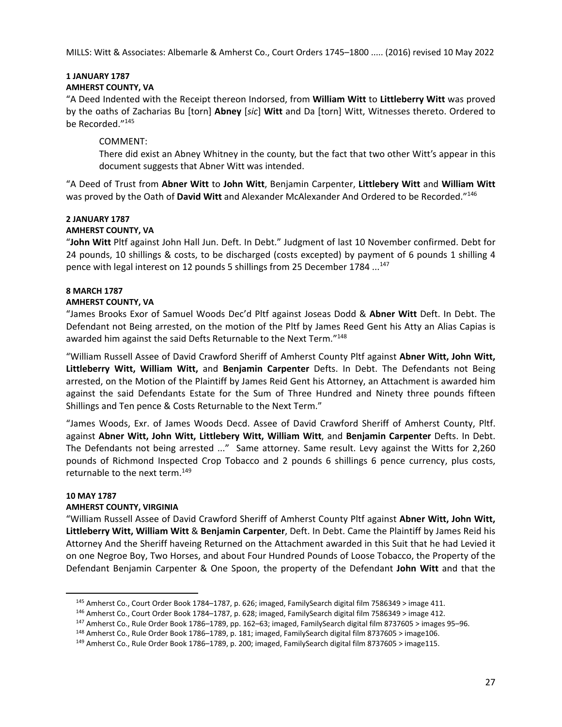# **1 JANUARY 1787**

# **AMHERST COUNTY, VA**

"A Deed Indented with the Receipt thereon Indorsed, from **William Witt** to **Littleberry Witt** was proved by the oaths of Zacharias Bu [torn] **Abney** [*sic*] **Witt** and Da [torn] Witt, Witnesses thereto. Ordered to be Recorded."145

# COMMENT:

There did exist an Abney Whitney in the county, but the fact that two other Witt's appear in this document suggests that Abner Witt was intended.

"A Deed of Trust from **Abner Witt** to **John Witt**, Benjamin Carpenter, **Littlebery Witt** and **William Witt** was proved by the Oath of **David Witt** and Alexander McAlexander And Ordered to be Recorded."146

#### **2 JANUARY 1787 AMHERST COUNTY, VA**

"**John Witt** Pltf against John Hall Jun. Deft. In Debt." Judgment of last 10 November confirmed. Debt for 24 pounds, 10 shillings & costs, to be discharged (costs excepted) by payment of 6 pounds 1 shilling 4 pence with legal interest on 12 pounds 5 shillings from 25 December 1784 ...<sup>147</sup>

# **8 MARCH 1787**

# **AMHERST COUNTY, VA**

"James Brooks Exor of Samuel Woods Dec'd Pltf against Joseas Dodd & **Abner Witt** Deft. In Debt. The Defendant not Being arrested, on the motion of the Pltf by James Reed Gent his Atty an Alias Capias is awarded him against the said Defts Returnable to the Next Term."<sup>148</sup>

"William Russell Assee of David Crawford Sheriff of Amherst County Pltf against **Abner Witt, John Witt, Littleberry Witt, William Witt,** and **Benjamin Carpenter** Defts. In Debt. The Defendants not Being arrested, on the Motion of the Plaintiff by James Reid Gent his Attorney, an Attachment is awarded him against the said Defendants Estate for the Sum of Three Hundred and Ninety three pounds fifteen Shillings and Ten pence & Costs Returnable to the Next Term."

"James Woods, Exr. of James Woods Decd. Assee of David Crawford Sheriff of Amherst County, Pltf. against **Abner Witt, John Witt, Littlebery Witt, William Witt**, and **Benjamin Carpenter** Defts. In Debt. The Defendants not being arrested ..." Same attorney. Same result. Levy against the Witts for 2,260 pounds of Richmond Inspected Crop Tobacco and 2 pounds 6 shillings 6 pence currency, plus costs, returnable to the next term.<sup>149</sup>

## **10 MAY 1787**

# **AMHERST COUNTY, VIRGINIA**

"William Russell Assee of David Crawford Sheriff of Amherst County Pltf against **Abner Witt, John Witt, Littleberry Witt, William Witt** & **Benjamin Carpenter**, Deft. In Debt. Came the Plaintiff by James Reid his Attorney And the Sheriff haveing Returned on the Attachment awarded in this Suit that he had Levied it on one Negroe Boy, Two Horses, and about Four Hundred Pounds of Loose Tobacco, the Property of the Defendant Benjamin Carpenter & One Spoon, the property of the Defendant **John Witt** and that the

<sup>&</sup>lt;sup>145</sup> Amherst Co., Court Order Book 1784–1787, p. 626; imaged, FamilySearch digital film 7586349 > image 411.<br><sup>146</sup> Amherst Co., Court Order Book 1784–1787, p. 628; imaged, FamilySearch digital film 7586349 > image 412.<br><sup></sup>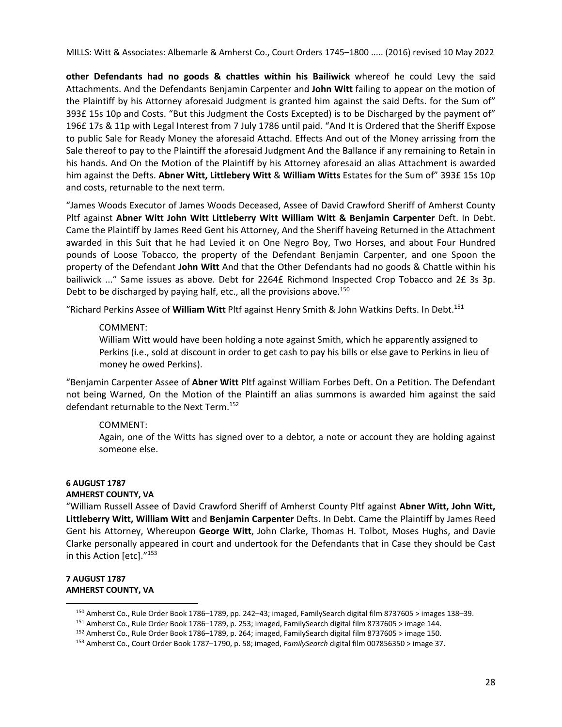**other Defendants had no goods & chattles within his Bailiwick** whereof he could Levy the said Attachments. And the Defendants Benjamin Carpenter and **John Witt** failing to appear on the motion of the Plaintiff by his Attorney aforesaid Judgment is granted him against the said Defts. for the Sum of" 393£ 15s 10p and Costs. "But this Judgment the Costs Excepted) is to be Discharged by the payment of" 196£ 17s & 11p with Legal Interest from 7 July 1786 until paid. "And It is Ordered that the Sheriff Expose to public Sale for Ready Money the aforesaid Attachd. Effects And out of the Money arrissing from the Sale thereof to pay to the Plaintiff the aforesaid Judgment And the Ballance if any remaining to Retain in his hands. And On the Motion of the Plaintiff by his Attorney aforesaid an alias Attachment is awarded him against the Defts. **Abner Witt, Littlebery Witt** & **William Witts** Estates for the Sum of" 393£ 15s 10p and costs, returnable to the next term.

"James Woods Executor of James Woods Deceased, Assee of David Crawford Sheriff of Amherst County Pltf against **Abner Witt John Witt Littleberry Witt William Witt & Benjamin Carpenter** Deft. In Debt. Came the Plaintiff by James Reed Gent his Attorney, And the Sheriff haveing Returned in the Attachment awarded in this Suit that he had Levied it on One Negro Boy, Two Horses, and about Four Hundred pounds of Loose Tobacco, the property of the Defendant Benjamin Carpenter, and one Spoon the property of the Defendant **John Witt** And that the Other Defendants had no goods & Chattle within his bailiwick ..." Same issues as above. Debt for 2264£ Richmond Inspected Crop Tobacco and 2£ 3s 3p. Debt to be discharged by paying half, etc., all the provisions above.<sup>150</sup>

"Richard Perkins Assee of **William Witt** Pltf against Henry Smith & John Watkins Defts. In Debt.151

# COMMENT:

William Witt would have been holding a note against Smith, which he apparently assigned to Perkins (i.e., sold at discount in order to get cash to pay his bills or else gave to Perkins in lieu of money he owed Perkins).

"Benjamin Carpenter Assee of **Abner Witt** Pltf against William Forbes Deft. On a Petition. The Defendant not being Warned, On the Motion of the Plaintiff an alias summons is awarded him against the said defendant returnable to the Next Term.<sup>152</sup>

# COMMENT:

Again, one of the Witts has signed over to a debtor, a note or account they are holding against someone else.

# **6 AUGUST 1787 AMHERST COUNTY, VA**

"William Russell Assee of David Crawford Sheriff of Amherst County Pltf against **Abner Witt, John Witt, Littleberry Witt, William Witt** and **Benjamin Carpenter** Defts. In Debt. Came the Plaintiff by James Reed Gent his Attorney, Whereupon **George Witt**, John Clarke, Thomas H. Tolbot, Moses Hughs, and Davie Clarke personally appeared in court and undertook for the Defendants that in Case they should be Cast in this Action [etc]."<sup>153</sup>

# **7 AUGUST 1787 AMHERST COUNTY, VA**

<sup>150</sup> Amherst Co., Rule Order Book 1786–1789, pp. 242–43; imaged, FamilySearch digital film 8737605 > images 138–39.<br><sup>151</sup> Amherst Co., Rule Order Book 1786–1789, p. 253; imaged, FamilySearch digital film 8737605 > image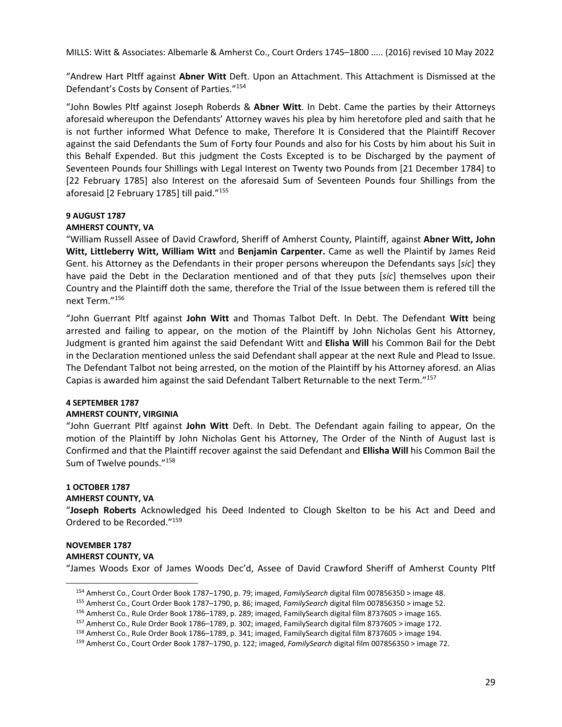"Andrew Hart Pltff against **Abner Witt** Deft. Upon an Attachment. This Attachment is Dismissed at the Defendant's Costs by Consent of Parties."154

"John Bowles Pltf against Joseph Roberds & **Abner Witt**. In Debt. Came the parties by their Attorneys aforesaid whereupon the Defendants' Attorney waves his plea by him heretofore pled and saith that he is not further informed What Defence to make, Therefore It is Considered that the Plaintiff Recover against the said Defendants the Sum of Forty four Pounds and also for his Costs by him about his Suit in this Behalf Expended. But this judgment the Costs Excepted is to be Discharged by the payment of Seventeen Pounds four Shillings with Legal Interest on Twenty two Pounds from [21 December 1784] to [22 February 1785] also Interest on the aforesaid Sum of Seventeen Pounds four Shillings from the aforesaid [2 February 1785] till paid."155

## **9 AUGUST 1787**

#### **AMHERST COUNTY, VA**

"William Russell Assee of David Crawford, Sheriff of Amherst County, Plaintiff, against **Abner Witt, John Witt, Littleberry Witt, William Witt** and **Benjamin Carpenter.** Came as well the Plaintif by James Reid Gent. his Attorney as the Defendants in their proper persons whereupon the Defendants says [*sic*] they have paid the Debt in the Declaration mentioned and of that they puts [*sic*] themselves upon their Country and the Plaintiff doth the same, therefore the Trial of the Issue between them is refered till the next Term."156

"John Guerrant Pltf against **John Witt** and Thomas Talbot Deft. In Debt. The Defendant **Witt** being arrested and failing to appear, on the motion of the Plaintiff by John Nicholas Gent his Attorney, Judgment is granted him against the said Defendant Witt and **Elisha Will** his Common Bail for the Debt in the Declaration mentioned unless the said Defendant shall appear at the next Rule and Plead to Issue. The Defendant Talbot not being arrested, on the motion of the Plaintiff by his Attorney aforesd. an Alias Capias is awarded him against the said Defendant Talbert Returnable to the next Term."157

#### **4 SEPTEMBER 1787**

## **AMHERST COUNTY, VIRGINIA**

"John Guerrant Pltf against **John Witt** Deft. In Debt. The Defendant again failing to appear, On the motion of the Plaintiff by John Nicholas Gent his Attorney, The Order of the Ninth of August last is Confirmed and that the Plaintiff recover against the said Defendant and **Ellisha Will** his Common Bail the Sum of Twelve pounds."<sup>158</sup>

# **1 OCTOBER 1787**

# **AMHERST COUNTY, VA**

"**Joseph Roberts** Acknowledged his Deed Indented to Clough Skelton to be his Act and Deed and Ordered to be Recorded."159

# **NOVEMBER 1787**

#### **AMHERST COUNTY, VA**

"James Woods Exor of James Woods Dec'd, Assee of David Crawford Sheriff of Amherst County Pltf

<sup>&</sup>lt;sup>154</sup> Amherst Co., Court Order Book 1787–1790, p. 79; imaged, *FamilySearch* digital film 007856350 > image 48.<br><sup>155</sup> Amherst Co., Court Order Book 1787–1790, p. 86; imaged, *FamilySearch* digital film 007856350 > image 5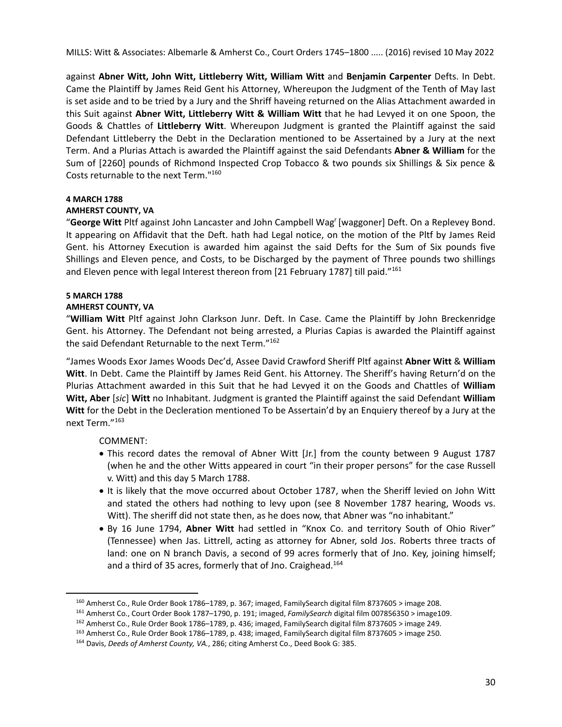against **Abner Witt, John Witt, Littleberry Witt, William Witt** and **Benjamin Carpenter** Defts. In Debt. Came the Plaintiff by James Reid Gent his Attorney, Whereupon the Judgment of the Tenth of May last is set aside and to be tried by a Jury and the Shriff haveing returned on the Alias Attachment awarded in this Suit against **Abner Witt, Littleberry Witt & William Witt** that he had Levyed it on one Spoon, the Goods & Chattles of **Littleberry Witt**. Whereupon Judgment is granted the Plaintiff against the said Defendant Littleberry the Debt in the Declaration mentioned to be Assertained by a Jury at the next Term. And a Plurias Attach is awarded the Plaintiff against the said Defendants **Abner & William** for the Sum of [2260] pounds of Richmond Inspected Crop Tobacco & two pounds six Shillings & Six pence & Costs returnable to the next Term."160

# **4 MARCH 1788**

# **AMHERST COUNTY, VA**

"**George Witt** Pltf against John Lancaster and John Campbell Wagr [waggoner] Deft. On a Replevey Bond. It appearing on Affidavit that the Deft. hath had Legal notice, on the motion of the Pltf by James Reid Gent. his Attorney Execution is awarded him against the said Defts for the Sum of Six pounds five Shillings and Eleven pence, and Costs, to be Discharged by the payment of Three pounds two shillings and Eleven pence with legal Interest thereon from [21 February 1787] till paid."161

# **5 MARCH 1788**

## **AMHERST COUNTY, VA**

"**William Witt** Pltf against John Clarkson Junr. Deft. In Case. Came the Plaintiff by John Breckenridge Gent. his Attorney. The Defendant not being arrested, a Plurias Capias is awarded the Plaintiff against the said Defendant Returnable to the next Term."<sup>162</sup>

"James Woods Exor James Woods Dec'd, Assee David Crawford Sheriff Pltf against **Abner Witt** & **William Witt**. In Debt. Came the Plaintiff by James Reid Gent. his Attorney. The Sheriff's having Return'd on the Plurias Attachment awarded in this Suit that he had Levyed it on the Goods and Chattles of **William Witt, Aber** [*sic*] **Witt** no Inhabitant. Judgment is granted the Plaintiff against the said Defendant **William Witt** for the Debt in the Decleration mentioned To be Assertain'd by an Enquiery thereof by a Jury at the next Term."163

COMMENT:

- This record dates the removal of Abner Witt [Jr.] from the county between 9 August 1787 (when he and the other Witts appeared in court "in their proper persons" for the case Russell v. Witt) and this day 5 March 1788.
- It is likely that the move occurred about October 1787, when the Sheriff levied on John Witt and stated the others had nothing to levy upon (see 8 November 1787 hearing, Woods vs. Witt). The sheriff did not state then, as he does now, that Abner was "no inhabitant."
- By 16 June 1794, **Abner Witt** had settled in "Knox Co. and territory South of Ohio River" (Tennessee) when Jas. Littrell, acting as attorney for Abner, sold Jos. Roberts three tracts of land: one on N branch Davis, a second of 99 acres formerly that of Jno. Key, joining himself; and a third of 35 acres, formerly that of Jno. Craighead.<sup>164</sup>

<sup>&</sup>lt;sup>160</sup> Amherst Co., Rule Order Book 1786–1789, p. 367; imaged, FamilySearch digital film 8737605 > image 208.<br><sup>161</sup> Amherst Co., Court Order Book 1787–1790, p. 191; imaged, *FamilySearch* digital film 007856350 > image109.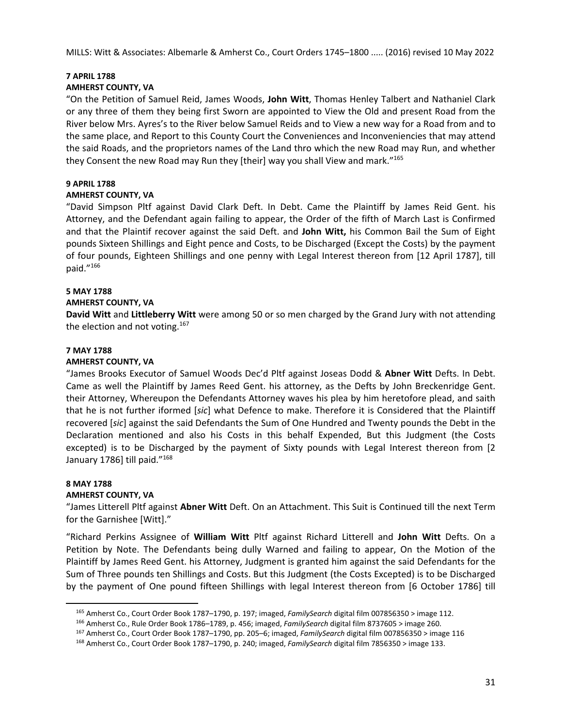# **7 APRIL 1788**

# **AMHERST COUNTY, VA**

"On the Petition of Samuel Reid, James Woods, **John Witt**, Thomas Henley Talbert and Nathaniel Clark or any three of them they being first Sworn are appointed to View the Old and present Road from the River below Mrs. Ayres's to the River below Samuel Reids and to View a new way for a Road from and to the same place, and Report to this County Court the Conveniences and Inconveniencies that may attend the said Roads, and the proprietors names of the Land thro which the new Road may Run, and whether they Consent the new Road may Run they [their] way you shall View and mark."165

# **9 APRIL 1788**

# **AMHERST COUNTY, VA**

"David Simpson Pltf against David Clark Deft. In Debt. Came the Plaintiff by James Reid Gent. his Attorney, and the Defendant again failing to appear, the Order of the fifth of March Last is Confirmed and that the Plaintif recover against the said Deft. and **John Witt,** his Common Bail the Sum of Eight pounds Sixteen Shillings and Eight pence and Costs, to be Discharged (Except the Costs) by the payment of four pounds, Eighteen Shillings and one penny with Legal Interest thereon from [12 April 1787], till paid."166

## **5 MAY 1788**

# **AMHERST COUNTY, VA**

**David Witt** and **Littleberry Witt** were among 50 or so men charged by the Grand Jury with not attending the election and not voting.<sup>167</sup>

## **7 MAY 1788**

# **AMHERST COUNTY, VA**

"James Brooks Executor of Samuel Woods Dec'd Pltf against Joseas Dodd & **Abner Witt** Defts. In Debt. Came as well the Plaintiff by James Reed Gent. his attorney, as the Defts by John Breckenridge Gent. their Attorney, Whereupon the Defendants Attorney waves his plea by him heretofore plead, and saith that he is not further iformed [*sic*] what Defence to make. Therefore it is Considered that the Plaintiff recovered [*sic*] against the said Defendants the Sum of One Hundred and Twenty pounds the Debt in the Declaration mentioned and also his Costs in this behalf Expended, But this Judgment (the Costs excepted) is to be Discharged by the payment of Sixty pounds with Legal Interest thereon from [2 January 1786] till paid."<sup>168</sup>

## **8 MAY 1788**

## **AMHERST COUNTY, VA**

"James Litterell Pltf against **Abner Witt** Deft. On an Attachment. This Suit is Continued till the next Term for the Garnishee [Witt]."

"Richard Perkins Assignee of **William Witt** Pltf against Richard Litterell and **John Witt** Defts. On a Petition by Note. The Defendants being dully Warned and failing to appear, On the Motion of the Plaintiff by James Reed Gent. his Attorney, Judgment is granted him against the said Defendants for the Sum of Three pounds ten Shillings and Costs. But this Judgment (the Costs Excepted) is to be Discharged by the payment of One pound fifteen Shillings with legal Interest thereon from [6 October 1786] till

<sup>&</sup>lt;sup>165</sup> Amherst Co., Court Order Book 1787–1790, p. 197; imaged, *FamilySearch* digital film 007856350 > image 112.<br><sup>166</sup> Amherst Co., Rule Order Book 1786–1789, p. 456; imaged, *FamilySearch* digital film 8737605 > image 2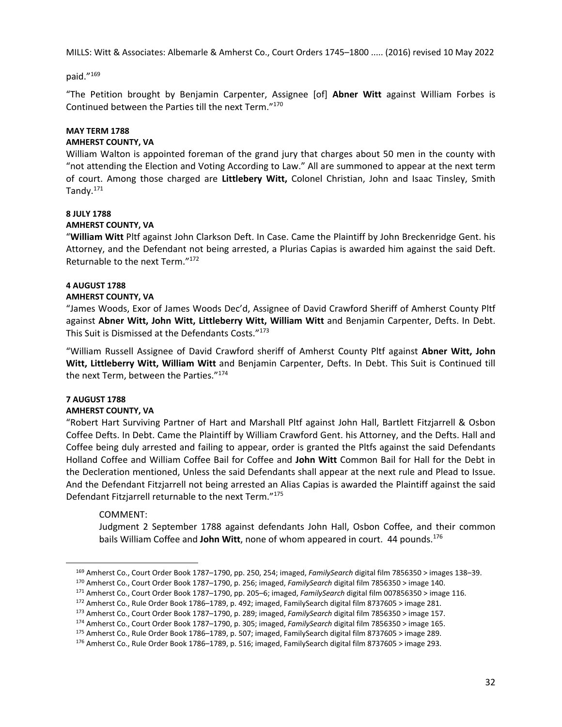## paid."169

"The Petition brought by Benjamin Carpenter, Assignee [of] **Abner Witt** against William Forbes is Continued between the Parties till the next Term."170

#### **MAY TERM 1788**

#### **AMHERST COUNTY, VA**

William Walton is appointed foreman of the grand jury that charges about 50 men in the county with "not attending the Election and Voting According to Law." All are summoned to appear at the next term of court. Among those charged are **Littlebery Witt,** Colonel Christian, John and Isaac Tinsley, Smith Tandy. $171$ 

#### **8 JULY 1788**

#### **AMHERST COUNTY, VA**

"**William Witt** Pltf against John Clarkson Deft. In Case. Came the Plaintiff by John Breckenridge Gent. his Attorney, and the Defendant not being arrested, a Plurias Capias is awarded him against the said Deft. Returnable to the next Term."172

# **4 AUGUST 1788**

## **AMHERST COUNTY, VA**

"James Woods, Exor of James Woods Dec'd, Assignee of David Crawford Sheriff of Amherst County Pltf against **Abner Witt, John Witt, Littleberry Witt, William Witt** and Benjamin Carpenter, Defts. In Debt. This Suit is Dismissed at the Defendants Costs."<sup>173</sup>

"William Russell Assignee of David Crawford sheriff of Amherst County Pltf against **Abner Witt, John Witt, Littleberry Witt, William Witt** and Benjamin Carpenter, Defts. In Debt. This Suit is Continued till the next Term, between the Parties."174

## **7 AUGUST 1788**

## **AMHERST COUNTY, VA**

"Robert Hart Surviving Partner of Hart and Marshall Pltf against John Hall, Bartlett Fitzjarrell & Osbon Coffee Defts. In Debt. Came the Plaintiff by William Crawford Gent. his Attorney, and the Defts. Hall and Coffee being duly arrested and failing to appear, order is granted the Pltfs against the said Defendants Holland Coffee and William Coffee Bail for Coffee and **John Witt** Common Bail for Hall for the Debt in the Decleration mentioned, Unless the said Defendants shall appear at the next rule and Plead to Issue. And the Defendant Fitzjarrell not being arrested an Alias Capias is awarded the Plaintiff against the said Defendant Fitzjarrell returnable to the next Term."175

# COMMENT:

Judgment 2 September 1788 against defendants John Hall, Osbon Coffee, and their common bails William Coffee and **John Witt**, none of whom appeared in court.44 pounds.176

<sup>&</sup>lt;sup>169</sup> Amherst Co., Court Order Book 1787–1790, pp. 250, 254; imaged, *FamilySearch* digital film 7856350 > images 138–39.<br><sup>170</sup> Amherst Co., Court Order Book 1787–1790, pp. 256; imaged, *FamilySearch* digital film 7856350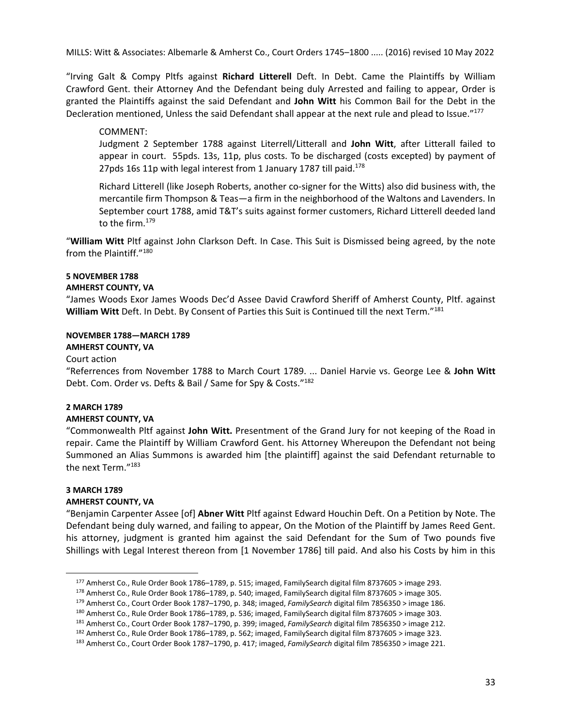"Irving Galt & Compy Pltfs against **Richard Litterell** Deft. In Debt. Came the Plaintiffs by William Crawford Gent. their Attorney And the Defendant being duly Arrested and failing to appear, Order is granted the Plaintiffs against the said Defendant and **John Witt** his Common Bail for the Debt in the Decleration mentioned, Unless the said Defendant shall appear at the next rule and plead to Issue."<sup>177</sup>

# COMMENT:

Judgment 2 September 1788 against Literrell/Litterall and **John Witt**, after Litterall failed to appear in court. 55pds. 13s, 11p, plus costs. To be discharged (costs excepted) by payment of 27pds 16s 11p with legal interest from 1 January 1787 till paid.<sup>178</sup>

Richard Litterell (like Joseph Roberts, another co-signer for the Witts) also did business with, the mercantile firm Thompson & Teas—a firm in the neighborhood of the Waltons and Lavenders. In September court 1788, amid T&T's suits against former customers, Richard Litterell deeded land to the firm.179

"**William Witt** Pltf against John Clarkson Deft. In Case. This Suit is Dismissed being agreed, by the note from the Plaintiff."180

## **5 NOVEMBER 1788**

#### **AMHERST COUNTY, VA**

"James Woods Exor James Woods Dec'd Assee David Crawford Sheriff of Amherst County, Pltf. against **William Witt** Deft. In Debt. By Consent of Parties this Suit is Continued till the next Term."181

#### **NOVEMBER 1788—MARCH 1789**

# **AMHERST COUNTY, VA**

#### Court action

"Referrences from November 1788 to March Court 1789. ... Daniel Harvie vs. George Lee & **John Witt** Debt. Com. Order vs. Defts & Bail / Same for Spy & Costs."182

# **2 MARCH 1789**

# **AMHERST COUNTY, VA**

"Commonwealth Pltf against **John Witt.** Presentment of the Grand Jury for not keeping of the Road in repair. Came the Plaintiff by William Crawford Gent. his Attorney Whereupon the Defendant not being Summoned an Alias Summons is awarded him [the plaintiff] against the said Defendant returnable to the next Term."183

#### **3 MARCH 1789 AMHERST COUNTY, VA**

"Benjamin Carpenter Assee [of] **Abner Witt** Pltf against Edward Houchin Deft. On a Petition by Note. The Defendant being duly warned, and failing to appear, On the Motion of the Plaintiff by James Reed Gent. his attorney, judgment is granted him against the said Defendant for the Sum of Two pounds five Shillings with Legal Interest thereon from [1 November 1786] till paid. And also his Costs by him in this

<sup>&</sup>lt;sup>177</sup> Amherst Co., Rule Order Book 1786–1789, p. 515; imaged, FamilySearch digital film 8737605 > image 293.<br><sup>178</sup> Amherst Co., Rule Order Book 1786–1789, p. 540; imaged, FamilySearch digital film 8737605 > image 305.<br><sup>17</sup>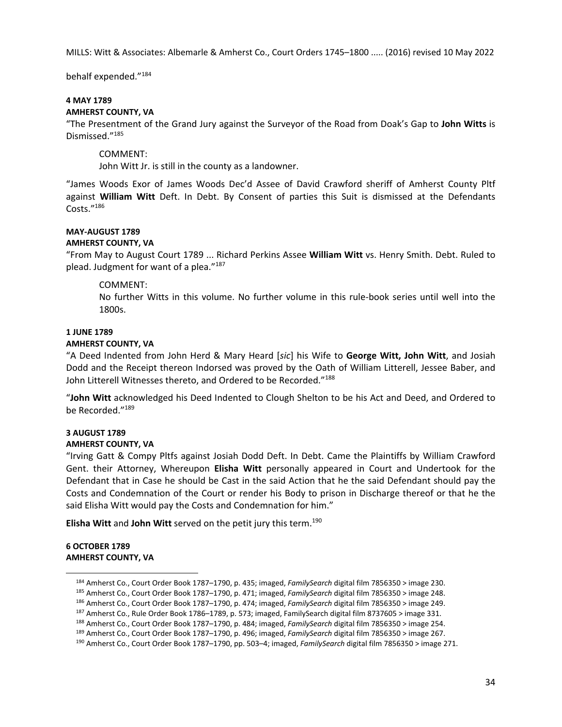behalf expended."184

#### **4 MAY 1789 AMHERST COUNTY, VA**

"The Presentment of the Grand Jury against the Surveyor of the Road from Doak's Gap to **John Witts** is Dismissed."185

COMMENT:

John Witt Jr. is still in the county as a landowner.

"James Woods Exor of James Woods Dec'd Assee of David Crawford sheriff of Amherst County Pltf against **William Witt** Deft. In Debt. By Consent of parties this Suit is dismissed at the Defendants Costs."186

# **MAY-AUGUST 1789**

#### **AMHERST COUNTY, VA**

"From May to August Court 1789 ... Richard Perkins Assee **William Witt** vs. Henry Smith. Debt. Ruled to plead. Judgment for want of a plea."187

## COMMENT:

No further Witts in this volume. No further volume in this rule-book series until well into the 1800s.

# **1 JUNE 1789**

# **AMHERST COUNTY, VA**

"A Deed Indented from John Herd & Mary Heard [*sic*] his Wife to **George Witt, John Witt**, and Josiah Dodd and the Receipt thereon Indorsed was proved by the Oath of William Litterell, Jessee Baber, and John Litterell Witnesses thereto, and Ordered to be Recorded."<sup>188</sup>

"**John Witt** acknowledged his Deed Indented to Clough Shelton to be his Act and Deed, and Ordered to be Recorded."189

## **3 AUGUST 1789**

#### **AMHERST COUNTY, VA**

"Irving Gatt & Compy Pltfs against Josiah Dodd Deft. In Debt. Came the Plaintiffs by William Crawford Gent. their Attorney, Whereupon **Elisha Witt** personally appeared in Court and Undertook for the Defendant that in Case he should be Cast in the said Action that he the said Defendant should pay the Costs and Condemnation of the Court or render his Body to prison in Discharge thereof or that he the said Elisha Witt would pay the Costs and Condemnation for him."

**Elisha Witt** and **John Witt** served on the petit jury this term.190

#### **6 OCTOBER 1789 AMHERST COUNTY, VA**

<sup>&</sup>lt;sup>184</sup> Amherst Co., Court Order Book 1787–1790, p. 435; imaged, *FamilySearch* digital film 7856350 > image 230.<br><sup>185</sup> Amherst Co., Court Order Book 1787–1790, p. 471; imaged, *FamilySearch* digital film 7856350 > image 24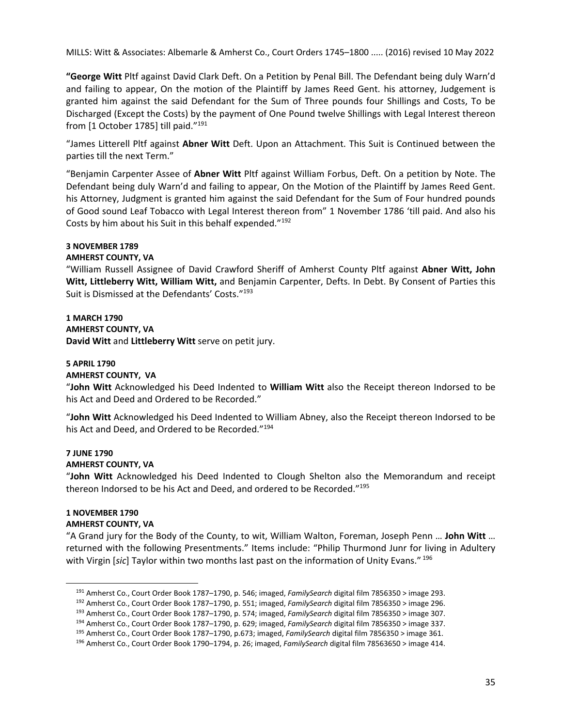**"George Witt** Pltf against David Clark Deft. On a Petition by Penal Bill. The Defendant being duly Warn'd and failing to appear, On the motion of the Plaintiff by James Reed Gent. his attorney, Judgement is granted him against the said Defendant for the Sum of Three pounds four Shillings and Costs, To be Discharged (Except the Costs) by the payment of One Pound twelve Shillings with Legal Interest thereon from [1 October 1785] till paid."<sup>191</sup>

"James Litterell Pltf against **Abner Witt** Deft. Upon an Attachment. This Suit is Continued between the parties till the next Term."

"Benjamin Carpenter Assee of **Abner Witt** Pltf against William Forbus, Deft. On a petition by Note. The Defendant being duly Warn'd and failing to appear, On the Motion of the Plaintiff by James Reed Gent. his Attorney, Judgment is granted him against the said Defendant for the Sum of Four hundred pounds of Good sound Leaf Tobacco with Legal Interest thereon from" 1 November 1786 'till paid. And also his Costs by him about his Suit in this behalf expended."192

## **3 NOVEMBER 1789**

## **AMHERST COUNTY, VA**

"William Russell Assignee of David Crawford Sheriff of Amherst County Pltf against **Abner Witt, John Witt, Littleberry Witt, William Witt,** and Benjamin Carpenter, Defts. In Debt. By Consent of Parties this Suit is Dismissed at the Defendants' Costs."193

# **1 MARCH 1790 AMHERST COUNTY, VA David Witt** and **Littleberry Witt** serve on petit jury.

# **5 APRIL 1790**

## **AMHERST COUNTY, VA**

"**John Witt** Acknowledged his Deed Indented to **William Witt** also the Receipt thereon Indorsed to be his Act and Deed and Ordered to be Recorded."

"**John Witt** Acknowledged his Deed Indented to William Abney, also the Receipt thereon Indorsed to be his Act and Deed, and Ordered to be Recorded."<sup>194</sup>

#### **7 JUNE 1790 AMHERST COUNTY, VA**

"**John Witt** Acknowledged his Deed Indented to Clough Shelton also the Memorandum and receipt thereon Indorsed to be his Act and Deed, and ordered to be Recorded."195

# **1 NOVEMBER 1790 AMHERST COUNTY, VA**

"A Grand jury for the Body of the County, to wit, William Walton, Foreman, Joseph Penn … **John Witt** … returned with the following Presentments." Items include: "Philip Thurmond Junr for living in Adultery with Virgin [*sic*] Taylor within two months last past on the information of Unity Evans." 196

<sup>&</sup>lt;sup>191</sup> Amherst Co., Court Order Book 1787–1790, p. 546; imaged, *FamilySearch* digital film 7856350 > image 293.<br><sup>192</sup> Amherst Co., Court Order Book 1787–1790, p. 551; imaged, *FamilySearch* digital film 7856350 > image 29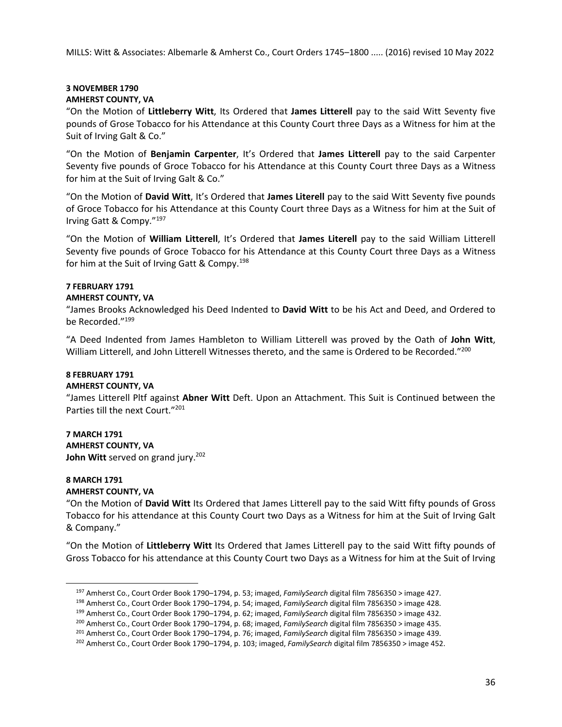# **3 NOVEMBER 1790 AMHERST COUNTY, VA**

"On the Motion of **Littleberry Witt**, Its Ordered that **James Litterell** pay to the said Witt Seventy five pounds of Grose Tobacco for his Attendance at this County Court three Days as a Witness for him at the Suit of Irving Galt & Co."

"On the Motion of **Benjamin Carpenter**, It's Ordered that **James Litterell** pay to the said Carpenter Seventy five pounds of Groce Tobacco for his Attendance at this County Court three Days as a Witness for him at the Suit of Irving Galt & Co."

"On the Motion of **David Witt**, It's Ordered that **James Literell** pay to the said Witt Seventy five pounds of Groce Tobacco for his Attendance at this County Court three Days as a Witness for him at the Suit of Irving Gatt & Compy."197

"On the Motion of **William Litterell**, It's Ordered that **James Literell** pay to the said William Litterell Seventy five pounds of Groce Tobacco for his Attendance at this County Court three Days as a Witness for him at the Suit of Irving Gatt & Compy.<sup>198</sup>

# **7 FEBRUARY 1791**

# **AMHERST COUNTY, VA**

"James Brooks Acknowledged his Deed Indented to **David Witt** to be his Act and Deed, and Ordered to be Recorded."199

"A Deed Indented from James Hambleton to William Litterell was proved by the Oath of **John Witt**, William Litterell, and John Litterell Witnesses thereto, and the same is Ordered to be Recorded."<sup>200</sup>

# **8 FEBRUARY 1791**

# **AMHERST COUNTY, VA**

"James Litterell Pltf against **Abner Witt** Deft. Upon an Attachment. This Suit is Continued between the Parties till the next Court."201

# **7 MARCH 1791 AMHERST COUNTY, VA John Witt** served on grand jury.<sup>202</sup>

# **8 MARCH 1791 AMHERST COUNTY, VA**

"On the Motion of **David Witt** Its Ordered that James Litterell pay to the said Witt fifty pounds of Gross Tobacco for his attendance at this County Court two Days as a Witness for him at the Suit of Irving Galt & Company."

"On the Motion of **Littleberry Witt** Its Ordered that James Litterell pay to the said Witt fifty pounds of Gross Tobacco for his attendance at this County Court two Days as a Witness for him at the Suit of Irving

<sup>&</sup>lt;sup>197</sup> Amherst Co., Court Order Book 1790–1794, p. 53; imaged, *FamilySearch* digital film 7856350 > image 427.<br><sup>198</sup> Amherst Co., Court Order Book 1790–1794, p. 54; imaged, *FamilySearch* digital film 7856350 > image 428.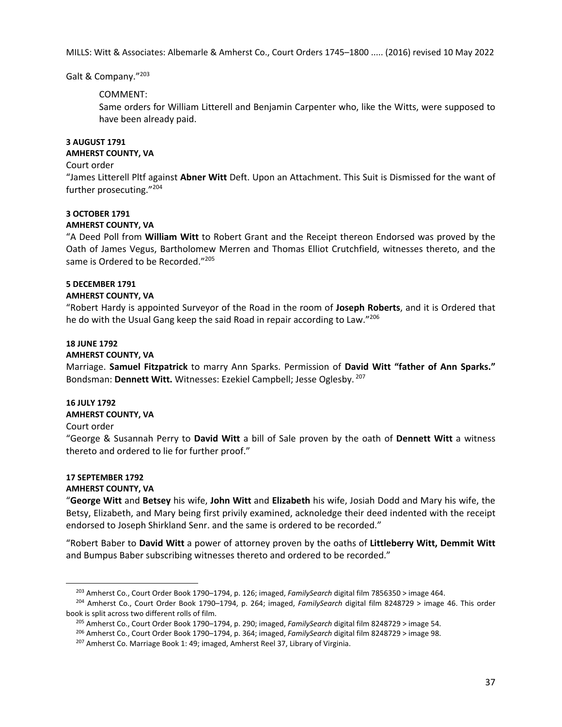## Galt & Company."203

# COMMENT:

Same orders for William Litterell and Benjamin Carpenter who, like the Witts, were supposed to have been already paid.

#### **3 AUGUST 1791 AMHERST COUNTY, VA**

#### Court order

"James Litterell Pltf against **Abner Witt** Deft. Upon an Attachment. This Suit is Dismissed for the want of further prosecuting."204

# **3 OCTOBER 1791**

# **AMHERST COUNTY, VA**

"A Deed Poll from **William Witt** to Robert Grant and the Receipt thereon Endorsed was proved by the Oath of James Vegus, Bartholomew Merren and Thomas Elliot Crutchfield, witnesses thereto, and the same is Ordered to be Recorded."<sup>205</sup>

## **5 DECEMBER 1791**

## **AMHERST COUNTY, VA**

"Robert Hardy is appointed Surveyor of the Road in the room of **Joseph Roberts**, and it is Ordered that he do with the Usual Gang keep the said Road in repair according to Law."206

# **18 JUNE 1792**

## **AMHERST COUNTY, VA**

Marriage. **Samuel Fitzpatrick** to marry Ann Sparks. Permission of **David Witt "father of Ann Sparks."** Bondsman: **Dennett Witt.** Witnesses: Ezekiel Campbell; Jesse Oglesby. 207

# **16 JULY 1792**

# **AMHERST COUNTY, VA**

# Court order

"George & Susannah Perry to **David Witt** a bill of Sale proven by the oath of **Dennett Witt** a witness thereto and ordered to lie for further proof."

#### **17 SEPTEMBER 1792 AMHERST COUNTY, VA**

"**George Witt** and **Betsey** his wife, **John Witt** and **Elizabeth** his wife, Josiah Dodd and Mary his wife, the Betsy, Elizabeth, and Mary being first privily examined, acknoledge their deed indented with the receipt endorsed to Joseph Shirkland Senr. and the same is ordered to be recorded."

"Robert Baber to **David Witt** a power of attorney proven by the oaths of **Littleberry Witt, Demmit Witt** and Bumpus Baber subscribing witnesses thereto and ordered to be recorded."

<sup>&</sup>lt;sup>203</sup> Amherst Co., Court Order Book 1790–1794, p. 126; imaged, FamilySearch digital film 7856350 > image 464.<br><sup>204</sup> Amherst Co., Court Order Book 1790–1794, p. 264; imaged, FamilySearch digital film 8248729 > image 46. Thi book is split across two different rolls of film.<br><sup>205</sup> Amherst Co., Court Order Book 1790–1794, p. 290; imaged, *FamilySearch* digital film 8248729 > image 54.<br><sup>206</sup> Amherst Co., Court Order Book 1790–1794, p. 364; imaged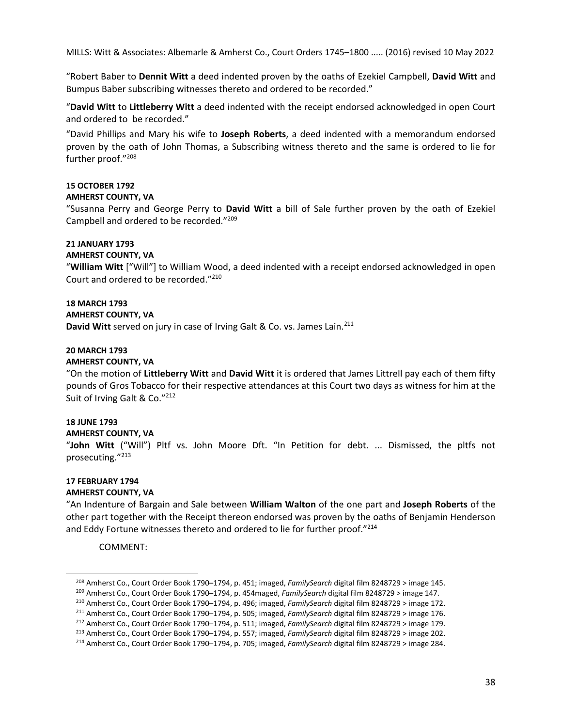"Robert Baber to **Dennit Witt** a deed indented proven by the oaths of Ezekiel Campbell, **David Witt** and Bumpus Baber subscribing witnesses thereto and ordered to be recorded."

"**David Witt** to **Littleberry Witt** a deed indented with the receipt endorsed acknowledged in open Court and ordered to be recorded."

"David Phillips and Mary his wife to **Joseph Roberts**, a deed indented with a memorandum endorsed proven by the oath of John Thomas, a Subscribing witness thereto and the same is ordered to lie for further proof."208

# **15 OCTOBER 1792**

## **AMHERST COUNTY, VA**

"Susanna Perry and George Perry to **David Witt** a bill of Sale further proven by the oath of Ezekiel Campbell and ordered to be recorded."209

## **21 JANUARY 1793**

**AMHERST COUNTY, VA** 

"**William Witt** ["Will"] to William Wood, a deed indented with a receipt endorsed acknowledged in open Court and ordered to be recorded."210

**18 MARCH 1793** 

**AMHERST COUNTY, VA** 

**David Witt** served on jury in case of Irving Galt & Co. vs. James Lain.<sup>211</sup>

# **20 MARCH 1793**

#### **AMHERST COUNTY, VA**

"On the motion of **Littleberry Witt** and **David Witt** it is ordered that James Littrell pay each of them fifty pounds of Gros Tobacco for their respective attendances at this Court two days as witness for him at the Suit of Irving Galt & Co."<sup>212</sup>

## **18 JUNE 1793**

#### **AMHERST COUNTY, VA**

"**John Witt** ("Will") Pltf vs. John Moore Dft. "In Petition for debt. ... Dismissed, the pltfs not prosecuting."213

#### **17 FEBRUARY 1794 AMHERST COUNTY, VA**

"An Indenture of Bargain and Sale between **William Walton** of the one part and **Joseph Roberts** of the other part together with the Receipt thereon endorsed was proven by the oaths of Benjamin Henderson and Eddy Fortune witnesses thereto and ordered to lie for further proof."<sup>214</sup>

COMMENT:

<sup>&</sup>lt;sup>208</sup> Amherst Co., Court Order Book 1790–1794, p. 451; imaged, *FamilySearch* digital film 8248729 > image 145.<br><sup>209</sup> Amherst Co., Court Order Book 1790–1794, p. 454maged, *FamilySearch* digital film 8248729 > image 147.<br>